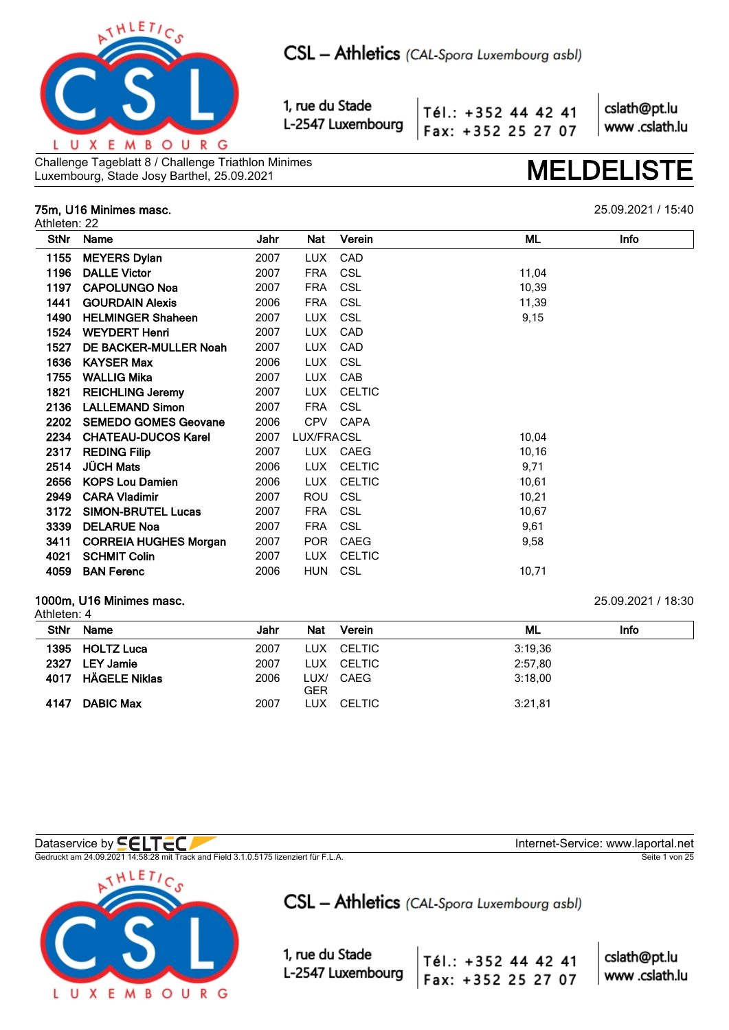

Tél.: +352 44 42 41 Fax: +352 25 27 07 cslath@pt.lu www.cslath.lu

Challenge Tageblatt 8 / Challenge Triathlon Minimes Challenge Tageblatt 8 / Challenge Triathlon Minimes<br>Luxembourg, Stade Josy Barthel, 25.09.2021 **MELDELIS** 

## **75m, U16 Minimes masc.** 25.09.2021 / 15:40

Athleten: 22

| <b>StNr</b> | Name                         | Jahr | Nat        | Verein        | Info<br>ML |  |
|-------------|------------------------------|------|------------|---------------|------------|--|
| 1155        | <b>MEYERS Dylan</b>          | 2007 | LUX.       | CAD           |            |  |
| 1196        | <b>DALLE Victor</b>          | 2007 | <b>FRA</b> | <b>CSL</b>    | 11,04      |  |
| 1197        | <b>CAPOLUNGO Noa</b>         | 2007 | <b>FRA</b> | <b>CSL</b>    | 10,39      |  |
| 1441        | <b>GOURDAIN Alexis</b>       | 2006 | <b>FRA</b> | <b>CSL</b>    | 11,39      |  |
| 1490        | <b>HELMINGER Shaheen</b>     | 2007 | LUX.       | <b>CSL</b>    | 9,15       |  |
| 1524        | <b>WEYDERT Henri</b>         | 2007 | <b>LUX</b> | CAD           |            |  |
| 1527        | DE BACKER-MULLER Noah        | 2007 | LUX        | CAD           |            |  |
| 1636        | <b>KAYSER Max</b>            | 2006 | <b>LUX</b> | <b>CSL</b>    |            |  |
| 1755        | <b>WALLIG Mika</b>           | 2007 | LUX.       | CAB           |            |  |
| 1821        | <b>REICHLING Jeremy</b>      | 2007 | <b>LUX</b> | <b>CELTIC</b> |            |  |
| 2136        | <b>LALLEMAND Simon</b>       | 2007 | <b>FRA</b> | <b>CSL</b>    |            |  |
| 2202        | <b>SEMEDO GOMES Geovane</b>  | 2006 | <b>CPV</b> | CAPA          |            |  |
| 2234        | <b>CHATEAU-DUCOS Karel</b>   | 2007 | LUX/FRACSL |               | 10,04      |  |
| 2317        | <b>REDING Filip</b>          | 2007 |            | LUX CAEG      | 10,16      |  |
| 2514        | <b>JÜCH Mats</b>             | 2006 | LUX.       | <b>CELTIC</b> | 9,71       |  |
| 2656        | <b>KOPS Lou Damien</b>       | 2006 | LUX        | <b>CELTIC</b> | 10,61      |  |
| 2949        | <b>CARA Vladimir</b>         | 2007 | ROU        | <b>CSL</b>    | 10,21      |  |
| 3172        | <b>SIMON-BRUTEL Lucas</b>    | 2007 | FRA        | <b>CSL</b>    | 10,67      |  |
| 3339        | <b>DELARUE Noa</b>           | 2007 | <b>FRA</b> | <b>CSL</b>    | 9,61       |  |
| 3411        | <b>CORREIA HUGHES Morgan</b> | 2007 | POR        | CAEG          | 9,58       |  |
| 4021        | <b>SCHMIT Colin</b>          | 2007 | LUX.       | <b>CELTIC</b> |            |  |
| 4059        | <b>BAN Ferenc</b>            | 2006 | <b>HUN</b> | <b>CSL</b>    | 10,71      |  |
|             |                              |      |            |               |            |  |

### **1000m, U16 Minimes masc.** 25.09.2021 / 18:30 Athleten: 4

|             | AUIICICI I. 4      |      |     |            |         |      |  |  |  |  |  |
|-------------|--------------------|------|-----|------------|---------|------|--|--|--|--|--|
| <b>StNr</b> | Name               | Jahr | Nat | Verein     | ML      | Info |  |  |  |  |  |
|             | 1395 HOLTZ Luca    | 2007 |     | LUX CELTIC | 3:19.36 |      |  |  |  |  |  |
| 2327        | LEY Jamie          | 2007 |     | LUX CELTIC | 2:57,80 |      |  |  |  |  |  |
|             | 4017 HÄGELE Niklas | 2006 | GER | LUX/ CAEG  | 3:18.00 |      |  |  |  |  |  |
| 4147        | <b>DABIC Max</b>   | 2007 |     | LUX CELTIC | 3:21,81 |      |  |  |  |  |  |

Dataservice by  $\blacksquare\blacksquare\blacksquare\blacksquare\blacksquare\blacksquare$ 

Gedruckt am 24.09.2021 14:58:28 mit Track and Field 3.1.0.5175 lizenziert für F.L.A. Seite 1 von 25



CSL - Athletics (CAL-Spora Luxembourg asbl)

1, rue du Stade L-2547 Luxembourg

Tél.: +352 44 42 41 Fax: +352 25 27 07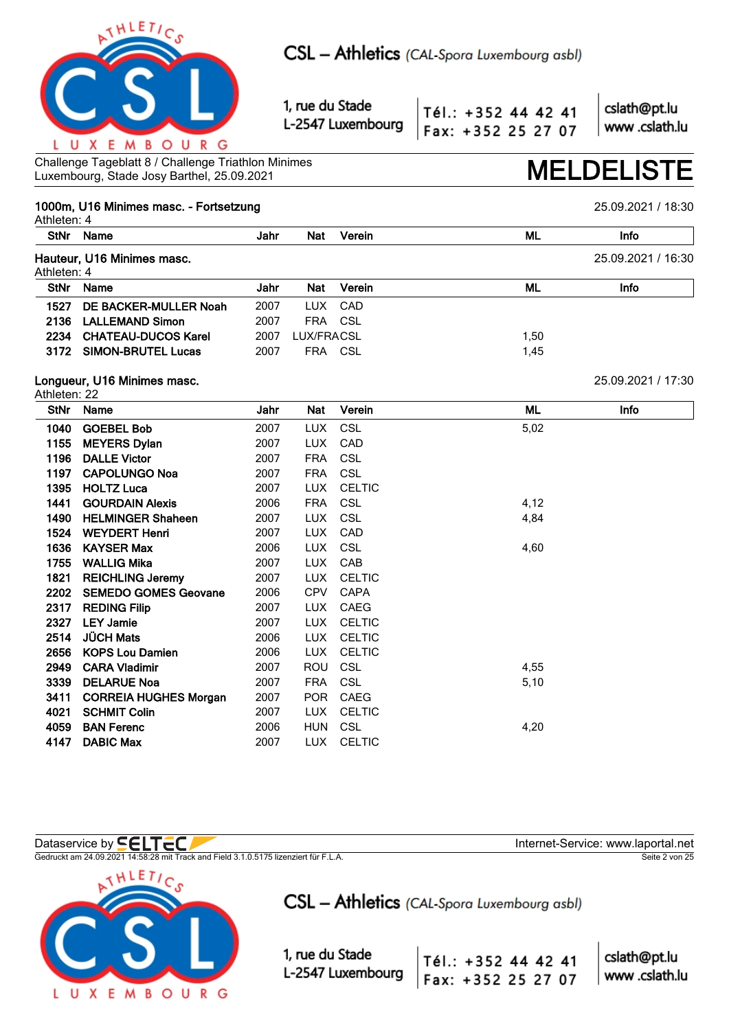

Tél.: +352 44 42 41 Fax: +352 25 27 07 cslath@pt.lu www.cslath.lu

Challenge Tageblatt 8 / Challenge Triathlon Minimes Luxembourg, Stade Josy Barthel, 25.09.2021 **MELDELISTE**

## **1000m, U16 Minimes masc. - Fortsetzung** 25.09.2021 / 18:30

Athleten: 4 **StNr Name Jahr Nat Verein ML Info Hauteur, U16 Minimes masc.** 25.09.2021 / 16:30 Athleten: 4 **StNr Name Jahr Nat Verein ML Info 1527 DE BACKER-MULLER Noah** 2007 LUX CAD **2136 LALLEMAND Simon** 2007 FRA CSL **2234 CHATEAU-DUCOS Karel 2007 LUX/FRACSL 2008** 1,50 **3172 SIMON-BRUTEL Lucas** 2007 FRA CSL 2007 2007 2007 2014 **Longueur, U16 Minimes masc.** 25.09.2021 / 17:30 Athleten: 22 **StNr Name Jahr Nat Verein ML Info 1040 GOEBEL Bob** 2007 LUX CSL 5,02 **1155 MEYERS Dylan** 2007 LUX CAD **1196 DALLE Victor** 2007 FRA CSL **1197 CAPOLUNGO Noa** 2007 FRA CSL **1395 HOLTZ Luca** 2007 LUX CELTIC **1441 GOURDAIN Alexis** 2006 FRA CSL 4,12 **1490 HELMINGER Shaheen** 2007 LUX CSL 4,84 **1524 WEYDERT Henri** 2007 LUX CAD **1636 KAYSER Max** 2006 LUX CSL 4,60 **1755 WALLIG Mika** 2007 LUX CAB **1821 REICHLING Jeremy** 2007 LUX CELTIC **2202 SEMEDO GOMES Geovane** 2006 CPV CAPA **2317 REDING Filip 2007 LUX CAEG 2327 LEY Jamie** 2007 LUX CELTIC



Gedruckt am 24.09.2021 14:58:28 mit Track and Field 3.1.0.5175 lizenziert für F.L.A. Seite 2 von 25

**2514 JÜCH Mats** 2006 LUX CELTIC **2656 KOPS Lou Damien** 2006 LUX CELTIC

**3411 CORREIA HUGHES Morgan** 2007 POR CAEG **4021 SCHMIT Colin** 2007 LUX CELTIC

**4147 DABIC Max** 2007 LUX CELTIC

**2949 CARA Vladimir** 2007 ROU CSL 4,55 **3339 DELARUE Noa** 2007 FRA CSL 5,10

**4059 BAN Ferenc** 2006 HUN CSL 4,20



CSL - Athletics (CAL-Spora Luxembourg asbl)

1, rue du Stade L-2547 Luxembourg

Dataservice by **SELTEC** 

cslath@pt.lu Tél.: +352 44 42 41 www.cslath.lu Fax: +352 25 27 07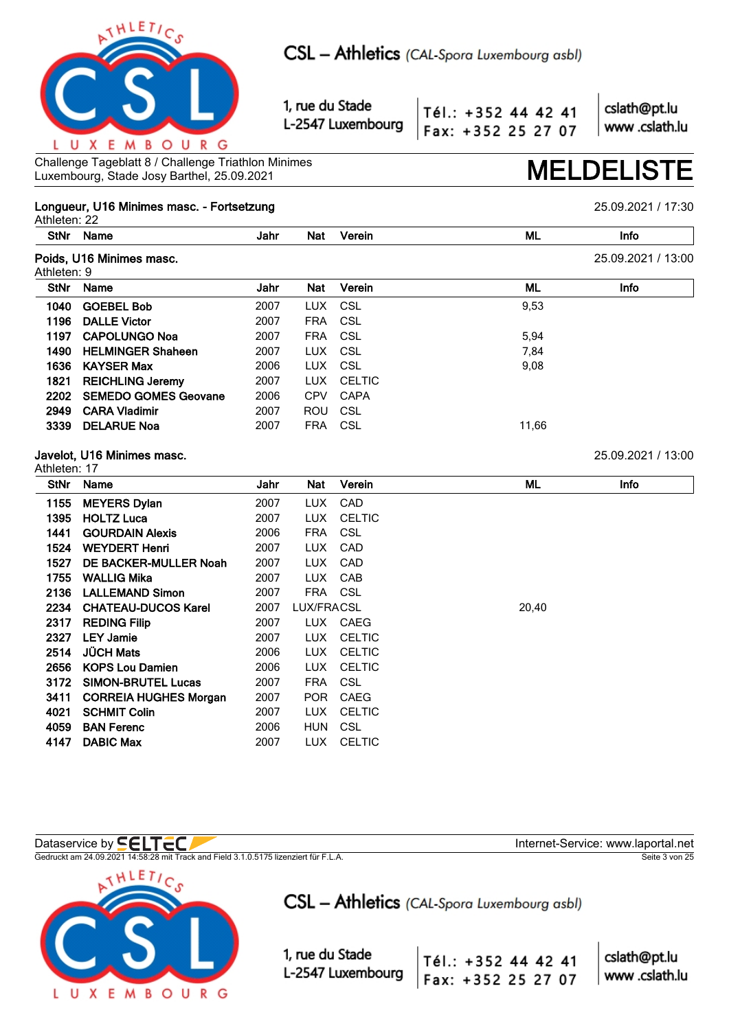

Tél.: +352 44 42 41 Fax: +352 25 27 07 cslath@pt.lu www.cslath.lu

Challenge Tageblatt 8 / Challenge Triathlon Minimes Challenge Tageblatt 8 / Challenge Triathlon Minimes<br>Luxembourg, Stade Josy Barthel, 25.09.2021 **MELDELIS** 

### **Longueur, U16 Minimes masc. - Fortsetzung** 25.09.2021 / 17:30 Athleten: 22

**StNr Name Jahr Nat Verein ML Info Poids, U16 Minimes masc.** 25.09.2021 / 13:00 Athleten: 9 **StNr Name Jahr Nat Verein ML Info 1040 GOEBEL Bob** 2007 LUX CSL 9,53 **1196 DALLE Victor** 2007 FRA CSL **1197 CAPOLUNGO Noa** 2007 FRA CSL 5,94 **1490 HELMINGER Shaheen** 2007 LUX CSL 7,84 **1636 KAYSER Max** 2006 LUX CSL 9,08 **1821 REICHLING Jeremy** 2007 LUX CELTIC **2202 SEMEDO GOMES Geovane** 2006 CPV CAPA **2949 CARA Vladimir** 2007 ROU CSL **3339 DELARUE Noa** 2007 FRA CSL 11,66 **Javelot, U16 Minimes masc.** 25.09.2021 / 13:00 Athleten: 17 **StNr Name Jahr Nat Verein ML Info 1155 MEYERS Dylan** 2007 LUX CAD

| 1395 | <b>HOLTZ Luca</b>            | 2007 | LUX        | CELTIC     |       |
|------|------------------------------|------|------------|------------|-------|
| 1441 | <b>GOURDAIN Alexis</b>       | 2006 | FRA CSL    |            |       |
| 1524 | <b>WEYDERT Henri</b>         | 2007 | LUX        | CAD        |       |
| 1527 | DE BACKER-MULLER Noah        | 2007 | LUX        | CAD        |       |
| 1755 | <b>WALLIG Mika</b>           | 2007 |            | LUX CAB    |       |
|      | 2136 LALLEMAND Simon         | 2007 | FRA CSL    |            |       |
|      | 2234 CHATEAU-DUCOS Karel     | 2007 | LUX/FRACSL |            | 20,40 |
| 2317 | <b>REDING Filip</b>          | 2007 |            | LUX CAEG   |       |
| 2327 | <b>LEY Jamie</b>             | 2007 | LUX        | CELTIC     |       |
| 2514 | <b>JÜCH Mats</b>             | 2006 | LUX        | CELTIC     |       |
| 2656 | <b>KOPS Lou Damien</b>       | 2006 | LUX        | CELTIC     |       |
| 3172 | <b>SIMON-BRUTEL Lucas</b>    | 2007 | <b>FRA</b> | CSL        |       |
| 3411 | <b>CORREIA HUGHES Morgan</b> | 2007 | POR.       | CAEG       |       |
| 4021 | <b>SCHMIT Colin</b>          | 2007 |            | LUX CELTIC |       |
| 4059 | <b>BAN Ferenc</b>            | 2006 | <b>HUN</b> | CSL        |       |
| 4147 | <b>DABIC Max</b>             | 2007 |            | LUX CELTIC |       |

Gedruckt am 24.09.2021 14:58:28 mit Track and Field 3.1.0.5175 lizenziert für F.L.A. Seite 3 von 25



CSL - Athletics (CAL-Spora Luxembourg asbl)

Tél.: +352 44 42 41

Fax: +352 25 27 07

1, rue du Stade L-2547 Luxembourg

Dataservice by **CELTEC**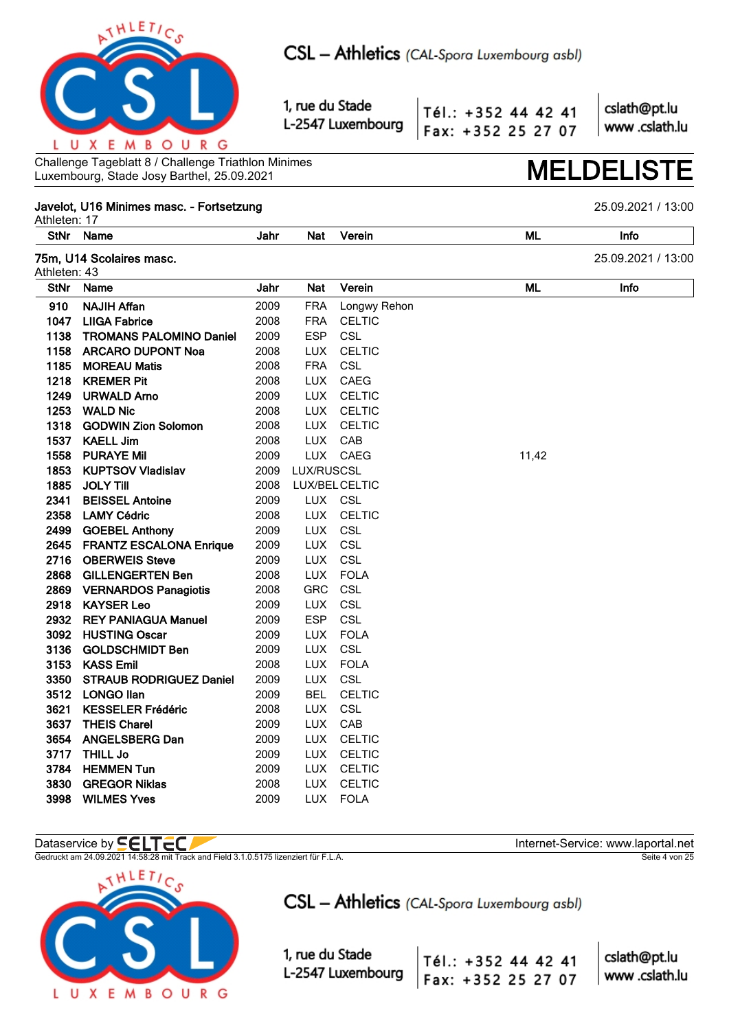

Tél.: +352 44 42 41 Fax: +352 25 27 07 cslath@pt.lu www.cslath.lu

Challenge Tageblatt 8 / Challenge Triathlon Minimes Luxembourg, Stade Josy Barthel, 25.09.2021

## Javelot, U16 Minimes masc. - Fortsetzung

Athleten: 17 **StNr ML** Name Jahr **Nat** Verein Info 75m, U14 Scolaires masc. 25.09.2021 / 13:00 Athleten: 43 **StNr ML** Name Jahr **Nat** Verein Info 910 **NAJIH Affan** 2009 **FRA** Longwy Rehon **LIIGA Fabrice** 1047 2008 **FRA CELTIC** 1138 **TROMANS PALOMINO Daniel** 2009 **ESP** CSL 1158 **ARCARO DUPONT Noa** 2008 **LUX** CELTIC 1185 **MOREAU Matis** 2008 **FRA** CSL 1218 **KREMER Pit** 2008 **LUX** CAEG 1249 **URWALD Arno** 2009 **LUX CELTIC** 1253 **WALD Nic** 2008 **LUX** CELTIC 1318 **GODWIN Zion Solomon** 2008 **LUX** CELTIC 1537 **KAELL Jim** 2008 **LUX**  $C\Delta R$ 1558 **PURAYE Mil** 2009 **LUX** CAEG 11,42 **KUPTSOV Vladislav** LUX/RUSCSL 1853 2009 1885 **JOLY Till** LUX/BEL CELTIC 2008 2341 **BEISSEL Antoine** 2009 LUX CSL **CELTIC** 2358 **LAMY Cédric** 2008 **LUX** CSL 2499 2009 TIIX **GOEBEL Anthony** 2645 **FRANTZ ESCALONA Enrique** 2009 **LUX** CSL 2716 **OBERWEIS Steve** 2009 **LUX** CSL **GILLENGERTEN Ben** TUX 2868 2008 **FOI A** 2869 **VERNARDOS Panagiotis** 2008 **GRC** CSL 2918 **KAYSER Leo** 2009 **LUX** CSL 2932 REY PANIAGUA Manuel 2009 **ESP** CSL 3092 HUSTING Oscar 2009 **LUX FOLA** 3136 **GOLDSCHMIDT Ben** 2009 **LUX** CSL **KASS Emil** 2008 **LUX FOLA** 3153 3350 **STRAUB RODRIGUEZ Daniel** 2009 **LUX** CSL **LONGO llan** 2009 **BFI** CELTIC 3512 3621 **KESSELER Frédéric** 2008 **LUX** CSL 3637 **THEIS Charel** 2009 **LUX** CAB 3654 **ANGELSBERG Dan** 2009 TUX CELTIC **THILL Jo** 3717 2009 **LUX CELTIC HEMMEN Tun** 2009 **CELTIC** 3784 **LUX GREGOR Niklas** 3830 2008 **LUX CELTIC** 2009 3998 WILMES Yves TUX  $F$  $O$  $I$  A

## Dataservice by **SELTEC**

Gedruckt am 24.09.2021 14:58:28 mit Track and Field 3.1.0.5175 lizenziert für F.L.A.



CSL - Athletics (CAL-Spora Luxembourg asbl)

1, rue du Stade L-2547 Luxembourg

cslath@pt.lu Tél.: +352 44 42 41 www.cslath.lu Fax: +352 25 27 07

Internet-Service: www.laportal.net Seite 4 von 25

25.09.2021 / 13:00

**MELDELIST**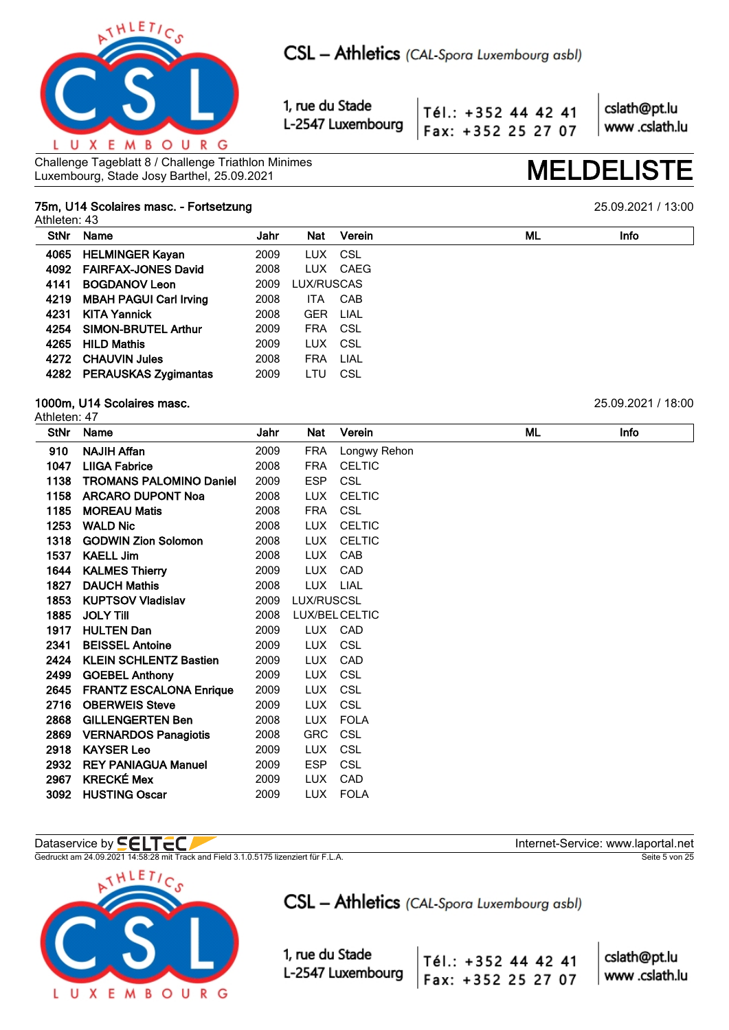

Tél.: +352 44 42 41 Fax: +352 25 27 07 cslath@pt.lu www.cslath.lu

Challenge Tageblatt 8 / Challenge Triathlon Minimes Challenge Tageblatt 8 / Challenge Triathlon Minimes<br>Luxembourg, Stade Josy Barthel, 25.09.2021

## **75m, U14 Scolaires masc. - Fortsetzung** 25.09.2021 / 13:00

Athleten: 43

| <b>StNr</b> | Name                          | Jahr | <b>Nat</b> | Verein   | ML | <b>Info</b> |
|-------------|-------------------------------|------|------------|----------|----|-------------|
| 4065        | <b>HELMINGER Kayan</b>        | 2009 | LUX        | - CSL    |    |             |
|             | 4092 FAIRFAX-JONES David      | 2008 |            | LUX CAEG |    |             |
| 4141        | <b>BOGDANOV Leon</b>          | 2009 | LUX/RUSCAS |          |    |             |
| 4219        | <b>MBAH PAGUI Carl Irving</b> | 2008 | <b>ITA</b> | CAB      |    |             |
| 4231        | <b>KITA Yannick</b>           | 2008 | <b>GER</b> | LIAL     |    |             |
| 4254        | <b>SIMON-BRUTEL Arthur</b>    | 2009 | FRA CSL    |          |    |             |
| 4265        | <b>HILD Mathis</b>            | 2009 | LUX CSL    |          |    |             |
| 4272        | <b>CHAUVIN Jules</b>          | 2008 | <b>FRA</b> | LIAL     |    |             |
|             | 4282 PERAUSKAS Zygimantas     | 2009 | LTU        | CSL      |    |             |
|             |                               |      |            |          |    |             |

### **1000m, U14 Scolaires masc.** 25.09.2021 / 18:00 Athleten: 47

| <b>StNr</b> | Name                           | Jahr | Nat        | Verein         | ML | Info |  |
|-------------|--------------------------------|------|------------|----------------|----|------|--|
| 910         | <b>NAJIH Affan</b>             | 2009 | <b>FRA</b> | Longwy Rehon   |    |      |  |
| 1047        | <b>LIIGA Fabrice</b>           | 2008 | <b>FRA</b> | <b>CELTIC</b>  |    |      |  |
| 1138        | <b>TROMANS PALOMINO Daniel</b> | 2009 | <b>ESP</b> | <b>CSL</b>     |    |      |  |
| 1158        | <b>ARCARO DUPONT Noa</b>       | 2008 | <b>LUX</b> | <b>CELTIC</b>  |    |      |  |
| 1185        | <b>MOREAU Matis</b>            | 2008 | <b>FRA</b> | <b>CSL</b>     |    |      |  |
| 1253        | <b>WALD Nic</b>                | 2008 | <b>LUX</b> | <b>CELTIC</b>  |    |      |  |
| 1318        | <b>GODWIN Zion Solomon</b>     | 2008 | <b>LUX</b> | <b>CELTIC</b>  |    |      |  |
| 1537        | <b>KAELL Jim</b>               | 2008 | LUX.       | CAB            |    |      |  |
| 1644        | <b>KALMES Thierry</b>          | 2009 | <b>LUX</b> | CAD            |    |      |  |
| 1827        | <b>DAUCH Mathis</b>            | 2008 | LUX.       | LIAL           |    |      |  |
| 1853        | <b>KUPTSOV Vladislav</b>       | 2009 | LUX/RUSCSL |                |    |      |  |
| 1885        | <b>JOLY TIII</b>               | 2008 |            | LUX/BEL CELTIC |    |      |  |
| 1917        | <b>HULTEN Dan</b>              | 2009 |            | LUX CAD        |    |      |  |
| 2341        | <b>BEISSEL Antoine</b>         | 2009 | <b>LUX</b> | CSL            |    |      |  |
| 2424        | <b>KLEIN SCHLENTZ Bastien</b>  | 2009 | <b>LUX</b> | CAD            |    |      |  |
| 2499        | <b>GOEBEL Anthony</b>          | 2009 | LUX.       | CSL            |    |      |  |
| 2645        | <b>FRANTZ ESCALONA Enrique</b> | 2009 | <b>LUX</b> | CSL            |    |      |  |
| 2716        | <b>OBERWEIS Steve</b>          | 2009 | <b>LUX</b> | <b>CSL</b>     |    |      |  |
| 2868        | <b>GILLENGERTEN Ben</b>        | 2008 | <b>LUX</b> | <b>FOLA</b>    |    |      |  |
| 2869        | <b>VERNARDOS Panagiotis</b>    | 2008 | <b>GRC</b> | <b>CSL</b>     |    |      |  |
| 2918        | <b>KAYSER Leo</b>              | 2009 | <b>LUX</b> | CSL            |    |      |  |
| 2932        | <b>REY PANIAGUA Manuel</b>     | 2009 | <b>ESP</b> | CSL            |    |      |  |
| 2967        | <b>KRECKÉ Mex</b>              | 2009 | <b>LUX</b> | CAD            |    |      |  |
| 3092        | <b>HUSTING Oscar</b>           | 2009 | <b>LUX</b> | <b>FOLA</b>    |    |      |  |

Gedruckt am 24.09.2021 14:58:28 mit Track and Field 3.1.0.5175 lizenziert für F.L.A. Seite 5 von 25



CSL - Athletics (CAL-Spora Luxembourg asbl)

1, rue du Stade L-2547 Luxembourg

Dataservice by  $\blacksquare\blacksquare\blacksquare\blacksquare\blacksquare\blacksquare$ 

Tél.: +352 44 42 41 Fax: +352 25 27 07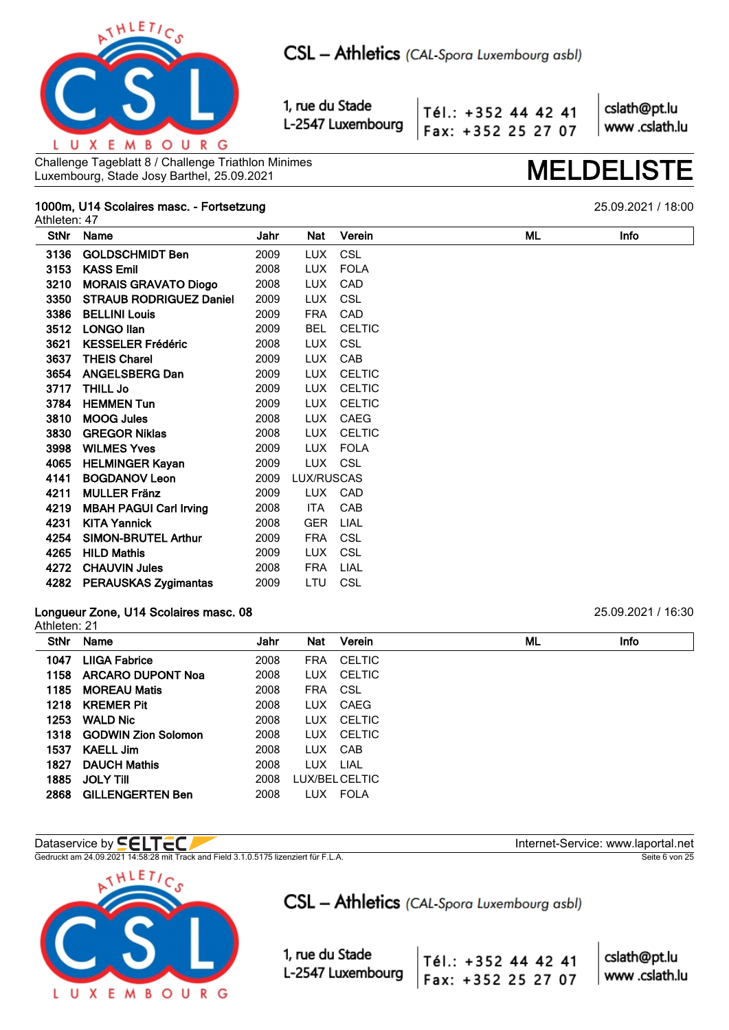

Tél.: +352 44 42 41 Fax: +352 25 27 07 cslath@pt.lu www.cslath.lu

Challenge Tageblatt 8 / Challenge Triathlon Minimes Challenge Tageblatt 8 / Challenge Triathlon Minimes<br>Luxembourg, Stade Josy Barthel, 25.09.2021

## **1000m, U14 Scolaires masc. - Fortsetzung** 25.09.2021 / 18:00

Athleten: 47

| <b>StNr</b> | Name                           | Jahr | Nat        | Verein        | ML | Info |
|-------------|--------------------------------|------|------------|---------------|----|------|
| 3136        | <b>GOLDSCHMIDT Ben</b>         | 2009 | <b>LUX</b> | <b>CSL</b>    |    |      |
| 3153        | <b>KASS Emil</b>               | 2008 | LUX.       | <b>FOLA</b>   |    |      |
| 3210        | <b>MORAIS GRAVATO Diogo</b>    | 2008 | LUX        | CAD           |    |      |
| 3350        | <b>STRAUB RODRIGUEZ Daniel</b> | 2009 | LUX.       | <b>CSL</b>    |    |      |
| 3386        | <b>BELLINI Louis</b>           | 2009 | <b>FRA</b> | CAD           |    |      |
| 3512        | <b>LONGO llan</b>              | 2009 | <b>BEL</b> | <b>CELTIC</b> |    |      |
| 3621        | <b>KESSELER Frédéric</b>       | 2008 | LUX.       | <b>CSL</b>    |    |      |
| 3637        | <b>THEIS Charel</b>            | 2009 | LUX.       | CAB           |    |      |
| 3654        | <b>ANGELSBERG Dan</b>          | 2009 | <b>LUX</b> | <b>CELTIC</b> |    |      |
| 3717        | <b>THILL Jo</b>                | 2009 | <b>LUX</b> | <b>CELTIC</b> |    |      |
| 3784        | <b>HEMMEN Tun</b>              | 2009 | LUX.       | <b>CELTIC</b> |    |      |
| 3810        | <b>MOOG Jules</b>              | 2008 | LUX.       | CAEG          |    |      |
| 3830        | <b>GREGOR Niklas</b>           | 2008 | LUX.       | <b>CELTIC</b> |    |      |
| 3998        | <b>WILMES Yves</b>             | 2009 | LUX.       | <b>FOLA</b>   |    |      |
| 4065        | <b>HELMINGER Kayan</b>         | 2009 | LUX CSL    |               |    |      |
| 4141        | <b>BOGDANOV Leon</b>           | 2009 | LUX/RUSCAS |               |    |      |
| 4211        | <b>MULLER Fränz</b>            | 2009 | LUX        | CAD           |    |      |
| 4219        | <b>MBAH PAGUI Carl Irving</b>  | 2008 | ITA        | CAB           |    |      |
| 4231        | <b>KITA Yannick</b>            | 2008 | <b>GER</b> | LIAL          |    |      |
| 4254        | <b>SIMON-BRUTEL Arthur</b>     | 2009 | <b>FRA</b> | <b>CSL</b>    |    |      |
| 4265        | <b>HILD Mathis</b>             | 2009 | LUX.       | CSL           |    |      |
| 4272        | <b>CHAUVIN Jules</b>           | 2008 | <b>FRA</b> | LIAL          |    |      |
| 4282        | <b>PERAUSKAS Zygimantas</b>    | 2009 | LTU        | <b>CSL</b>    |    |      |

## **Longueur Zone, U14 Scolaires masc. 08** 25.09.2021 / 16:30

Athleten: 21

| .    |                          |      |            |                |    |             |
|------|--------------------------|------|------------|----------------|----|-------------|
|      | StNr Name                | Jahr | Nat        | Verein         | ML | <b>Info</b> |
| 1047 | <b>LIIGA Fabrice</b>     | 2008 | <b>FRA</b> | <b>CELTIC</b>  |    |             |
|      | 1158 ARCARO DUPONT Noa   | 2008 | LUX.       | CELTIC         |    |             |
| 1185 | <b>MOREAU Matis</b>      | 2008 | <b>FRA</b> | CSL            |    |             |
|      | 1218 KREMER Pit          | 2008 | LUX.       | CAEG           |    |             |
|      | 1253 WALD Nic            | 2008 | LUX.       | CELTIC         |    |             |
|      | 1318 GODWIN Zion Solomon | 2008 | LUX.       | CELTIC         |    |             |
| 1537 | KAELL Jim                | 2008 | LUX.       | CAB            |    |             |
| 1827 | <b>DAUCH Mathis</b>      | 2008 | LUX.       | LIAL           |    |             |
| 1885 | <b>JOLY TIII</b>         | 2008 |            | LUX/BEL CELTIC |    |             |
| 2868 | <b>GILLENGERTEN Ben</b>  | 2008 | LUX.       | FOLA           |    |             |
|      |                          |      |            |                |    |             |

Gedruckt am 24.09.2021 14:58:28 mit Track and Field 3.1.0.5175 lizenziert für F.L.A. Seite 6 von 25



CSL - Athletics (CAL-Spora Luxembourg asbl)

1, rue du Stade L-2547 Luxembourg

Dataservice by  $\blacksquare\blacksquare\blacksquare\blacksquare\blacksquare\blacksquare$ 

cslath@pt.lu

| Tél.: +352 44 42 41 |  | CSI        |
|---------------------|--|------------|
| Fax: +352 25 27 07  |  | $\vert$ ww |

w .cslath.lu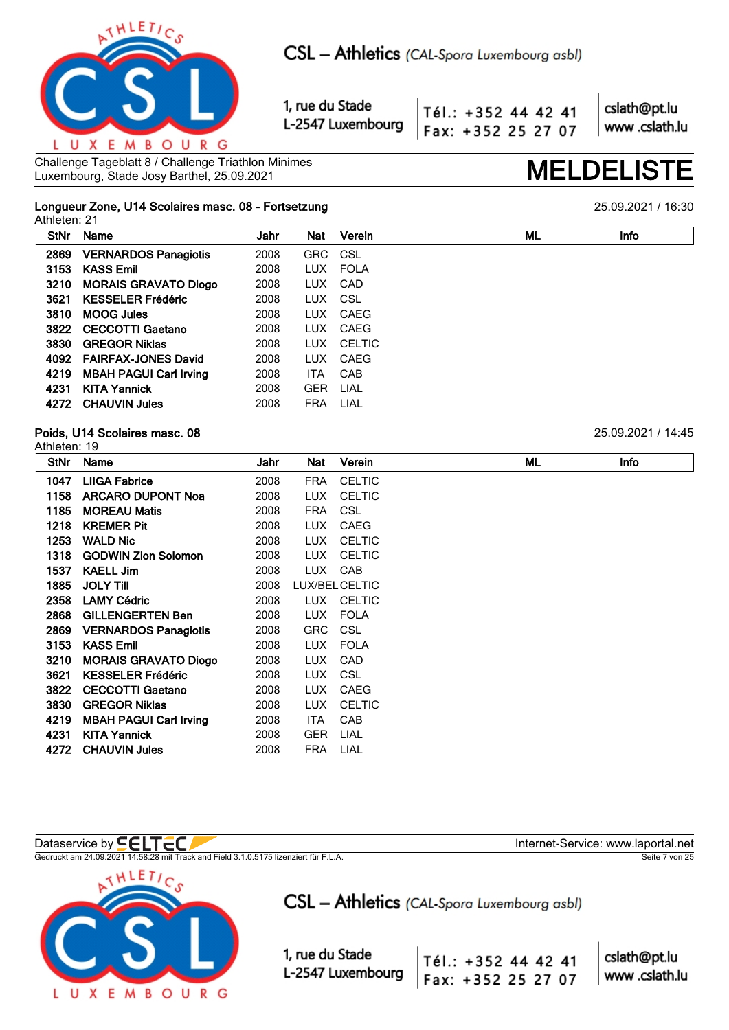

Tél.: +352 44 42 41 Fax: +352 25 27 07

cslath@pt.lu www.cslath.lu

Challenge Tageblatt 8 / Challenge Triathlon Minimes Challenge Tageblatt 8 / Challenge Triathlon Minimes<br>Luxembourg, Stade Josy Barthel, 25.09.2021

### **Longueur Zone, U14 Scolaires masc. 08 - Fortsetzung** 25.09.2021 / 16:30 Athleten: 21

| <b>StNr</b> | Name                          | Jahr | <b>Nat</b> | Verein     | ML | <b>Info</b> |
|-------------|-------------------------------|------|------------|------------|----|-------------|
| 2869        | <b>VERNARDOS Panagiotis</b>   | 2008 | GRC CSL    |            |    |             |
| 3153        | <b>KASS Emil</b>              | 2008 | LUX        | FOLA       |    |             |
| 3210        | <b>MORAIS GRAVATO Diogo</b>   | 2008 | LUX.       | CAD        |    |             |
| 3621        | <b>KESSELER Frédéric</b>      | 2008 | LUX CSL    |            |    |             |
| 3810        | <b>MOOG Jules</b>             | 2008 |            | LUX CAEG   |    |             |
| 3822        | <b>CECCOTTI Gaetano</b>       | 2008 | LUX        | CAEG       |    |             |
| 3830        | <b>GREGOR Niklas</b>          | 2008 |            | LUX CELTIC |    |             |
|             | 4092 FAIRFAX-JONES David      | 2008 |            | LUX CAEG   |    |             |
| 4219        | <b>MBAH PAGUI Carl Irving</b> | 2008 | <b>ITA</b> | CAB        |    |             |
| 4231        | <b>KITA Yannick</b>           | 2008 | <b>GER</b> | LIAL       |    |             |
|             | 4272 CHAUVIN Jules            | 2008 | <b>FRA</b> | LIAL       |    |             |
|             |                               |      |            |            |    |             |

## **Poids, U14 Scolaires masc. 08** 25.09.2021 / 14:45

| Athleten: 19 |                               |      |            |                |    |      |
|--------------|-------------------------------|------|------------|----------------|----|------|
| StNr         | Name                          | Jahr | Nat        | Verein         | ML | Info |
| 1047         | <b>LIIGA Fabrice</b>          | 2008 | FRA        | <b>CELTIC</b>  |    |      |
| 1158         | <b>ARCARO DUPONT Noa</b>      | 2008 | LUX.       | <b>CELTIC</b>  |    |      |
| 1185         | <b>MOREAU Matis</b>           | 2008 | <b>FRA</b> | <b>CSL</b>     |    |      |
| 1218         | <b>KREMER Pit</b>             | 2008 | LUX.       | <b>CAEG</b>    |    |      |
| 1253         | <b>WALD Nic</b>               | 2008 | <b>LUX</b> | <b>CELTIC</b>  |    |      |
| 1318         | <b>GODWIN Zion Solomon</b>    | 2008 | <b>LUX</b> | <b>CELTIC</b>  |    |      |
| 1537         | <b>KAELL Jim</b>              | 2008 | <b>LUX</b> | CAB            |    |      |
| 1885         | <b>JOLY TIII</b>              | 2008 |            | LUX/BEL CELTIC |    |      |
| 2358         | <b>LAMY Cédric</b>            | 2008 |            | LUX CELTIC     |    |      |
| 2868         | <b>GILLENGERTEN Ben</b>       | 2008 | <b>LUX</b> | <b>FOLA</b>    |    |      |
| 2869         | <b>VERNARDOS Panagiotis</b>   | 2008 | <b>GRC</b> | <b>CSL</b>     |    |      |
| 3153         | <b>KASS Emil</b>              | 2008 | LUX.       | <b>FOLA</b>    |    |      |
| 3210         | <b>MORAIS GRAVATO Diogo</b>   | 2008 | LUX.       | CAD            |    |      |
| 3621         | <b>KESSELER Frédéric</b>      | 2008 | <b>LUX</b> | <b>CSL</b>     |    |      |
| 3822         | <b>CECCOTTI Gaetano</b>       | 2008 | <b>LUX</b> | <b>CAEG</b>    |    |      |
| 3830         | <b>GREGOR Niklas</b>          | 2008 | <b>LUX</b> | <b>CELTIC</b>  |    |      |
| 4219         | <b>MBAH PAGUI Carl Irving</b> | 2008 | ITA.       | <b>CAB</b>     |    |      |
| 4231         | <b>KITA Yannick</b>           | 2008 | <b>GER</b> | LIAL           |    |      |
| 4272         | <b>CHAUVIN Jules</b>          | 2008 | <b>FRA</b> | LIAL           |    |      |
|              |                               |      |            |                |    |      |

## Dataservice by  $\blacksquare\blacksquare\blacksquare\blacksquare\blacksquare\blacksquare$

Gedruckt am 24.09.2021 14:58:28 mit Track and Field 3.1.0.5175 lizenziert für F.L.A. Seite 7 von 25



CSL - Athletics (CAL-Spora Luxembourg asbl)

1, rue du Stade L-2547 Luxembourg

cslath@pt.lu Tél.: +352 44 42 41

Fax: +352 25 27 07

www.cslath.lu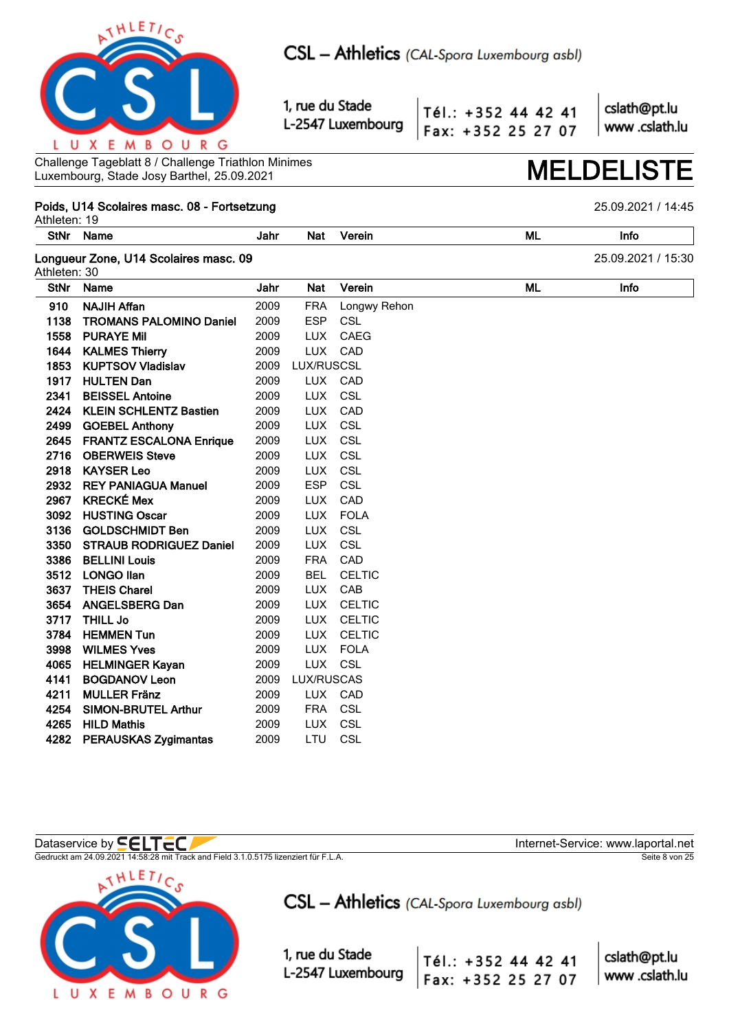

Tél.: +352 44 42 41 Fax: +352 25 27 07 cslath@pt.lu www.cslath.lu

Challenge Tageblatt 8 / Challenge Triathlon Minimes Luxembourg, Stade Josy Barthel, 25.09.2021

## Poids, U14 Scolaires masc. 08 - Fortsetzung

Athleten: 19 **StNr ML** Name Jahr **Nat** Verein Info Longueur Zone, U14 Scolaires masc. 09 25.09.2021 / 15:30 Athleten: 30 **StNr ML** Name Jahr **Nat** Verein Info 910 **NAJIH Affan** 2009 **FRA** Longwy Rehon **TROMANS PALOMINO Daniel** 1138 **ESP** 2009 CSL 1558 **PURAYE Mil** 2009 **LUX** CAEG 1644 2009 **LUX** CAD **KALMES Thierry** 1853 **KUPTSOV Vladislav** 2009 **LUX/RUSCSL** 1917 **HULTEN Dan** 2009 **LUX** CAD 2341 **BEISSEL Antoine** 2009 LUX CSL 2424 **KLEIN SCHLENTZ Bastien** 2009 **LUX** CAD 2499 **GOEBEL Anthony** 2009 **LUX** CSL 2645 **FRANTZ ESCALONA Enrique** 2009 **LUX** CSL 2716 OBERWEIS Steve 2009 **LUX** CSL 2009 **LUX** CSL 2918 **KAYSER Leo** 2932 **REY PANIAGUA Manuel ESP** CSL 2009 **KRECKÉ Mex** 2967 2009 LUX CAD **FOLA** 3092 **HUSTING Oscar** 2009 **LUX** TUX CSL 3136 **GOLDSCHMIDT Ben** 2009 3350 **STRAUB RODRIGUEZ Daniel** 2009 **LUX** CSL **FRA** 3386 **BELLINI Louis** 2009 CAD CFI TIC 3512 **LONGO Ilan** 2009 **BFI** 3637 **THEIS Charel** 2009 **LUX** CAB 3654 **ANGELSBERG Dan** 2009 **LUX** CELTIC 2009 3717 **THILL Jo** TUX CELTIC 3784 HEMMEN Tun 2009 **LUX CELTIC** 3998 WILMES Yves 2009 **LUX FOLA HELMINGER Kayan** 2009 **LUX** CSL 4065 4141 **BOGDANOV Leon** 2009 LUX/RUSCAS 4211 **MULLER Fränz** 2009 TUX CAD 4254 **SIMON-BRUTEL Arthur** 2009 **FRA** CSL 4265 **HILD Mathis** 2009 **LUX** CSL 4282 PERAUSKAS Zygimantas 2009 **TU** CSL

Dataservice by **SELTEC** 

Gedruckt am 24.09.2021 14:58:28 mit Track and Field 3.1.0.5175 lizenziert für F.L.A.



CSL - Athletics (CAL-Spora Luxembourg asbl)

1, rue du Stade L-2547 Luxembourg

Tél.: +352 44 42 41 Fax: +352 25 27 07

cslath@pt.lu www.cslath.lu

Seite 8 von 25

Internet-Service: www.laportal.net

## 25.09.2021 / 14:45

**MELDELIS**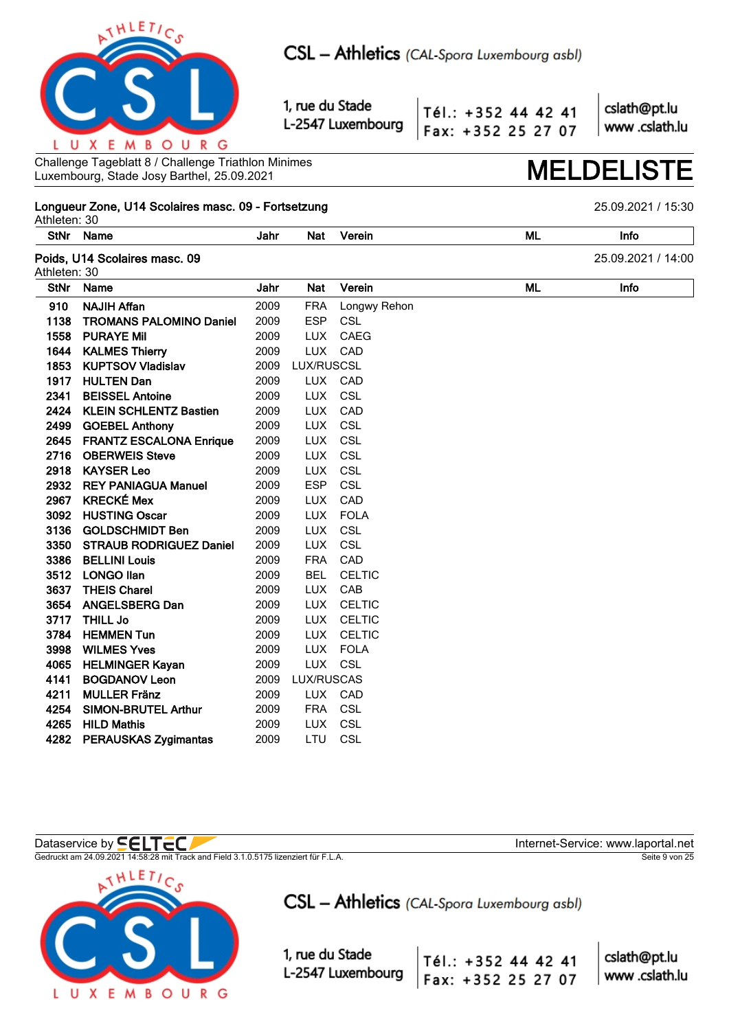

Tél.: +352 44 42 41 Fax: +352 25 27 07 cslath@pt.lu www.cslath.lu

Challenge Tageblatt 8 / Challenge Triathlon Minimes Luxembourg, Stade Josy Barthel, 25.09.2021

## Longueur Zone, U14 Scolaires masc. 09 - Fortsetzung

Athleten: 30 **StNr** Name **ML** Jahr **Nat** Verein Info Poids, U14 Scolaires masc. 09 25.09.2021 / 14:00 Athleten: 30 **StNr ML** Name Jahr **Nat** Verein Info 910 **NAJIH Affan** 2009 **FRA** Longwy Rehon **TROMANS PALOMINO Daniel** 1138 2009 **ESP** CSL 1558 **PURAYE Mil** 2009 **LUX** CAEG 1644 2009 **LUX** CAD **KALMES Thierry** 1853 **KUPTSOV Vladislav** 2009 **LUX/RUSCSL** 1917 **HULTEN Dan** 2009 **LUX** CAD 2341 **BEISSEL Antoine** 2009 LUX CSL 2424 **KLEIN SCHLENTZ Bastien** 2009 **LUX** CAD 2499 **GOEBEL Anthony** 2009 **LUX** CSL CSL 2645 **FRANTZ ESCALONA Enrique** 2009 **LUX** 2716 OBERWEIS Steve 2009 **LUX** CSL 2009 **LUX** CSL 2918 **KAYSER Leo** 2932 **REY PANIAGUA Manuel ESP** CSL 2009 **KRECKÉ Mex** 2967 2009 LUX CAD **FOLA** 3092 **HUSTING Oscar** 2009 **LUX** TUX CSL 3136 **GOLDSCHMIDT Ben** 2009 3350 **STRAUB RODRIGUEZ Daniel** 2009 **LUX** CSL **FRA** 3386 **BELLINI Louis** 2009 CAD CFI TIC 3512 **LONGO Ilan** 2009 **BFI** 3637 **THEIS Charel** 2009 **LUX** CAB 3654 **ANGELSBERG Dan** 2009 **LUX** CELTIC 3717 **THILL Jo** 2009 TUX CELTIC 3784 HEMMEN Tun 2009 **LUX CELTIC** 3998 WILMES Yves 2009 **LUX FOLA HELMINGER Kayan** 2009 **LUX** CSL 4065 4141 **BOGDANOV Leon** 2009 LUX/RUSCAS 4211 **MULLER Fränz** 2009 TUX CAD 4254 **SIMON-BRUTEL Arthur** 2009 **FRA** CSL 4265 **HILD Mathis** 2009 **LUX** CSL 4282 PERAUSKAS Zygimantas 2009 **TU** CSL

## Dataservice by **SELTEC**

Gedruckt am 24.09.2021 14:58:28 mit Track and Field 3.1.0.5175 lizenziert für F.L.A.



CSL - Athletics (CAL-Spora Luxembourg asbl)

1, rue du Stade L-2547 Luxembourg

Tél.: +352 44 42 41 Fax: +352 25 27 07

cslath@pt.lu www.cslath.lu

Seite 9 von 25

Internet-Service: www.laportal.net

## 25.09.2021 / 15:30

**MELDELIS**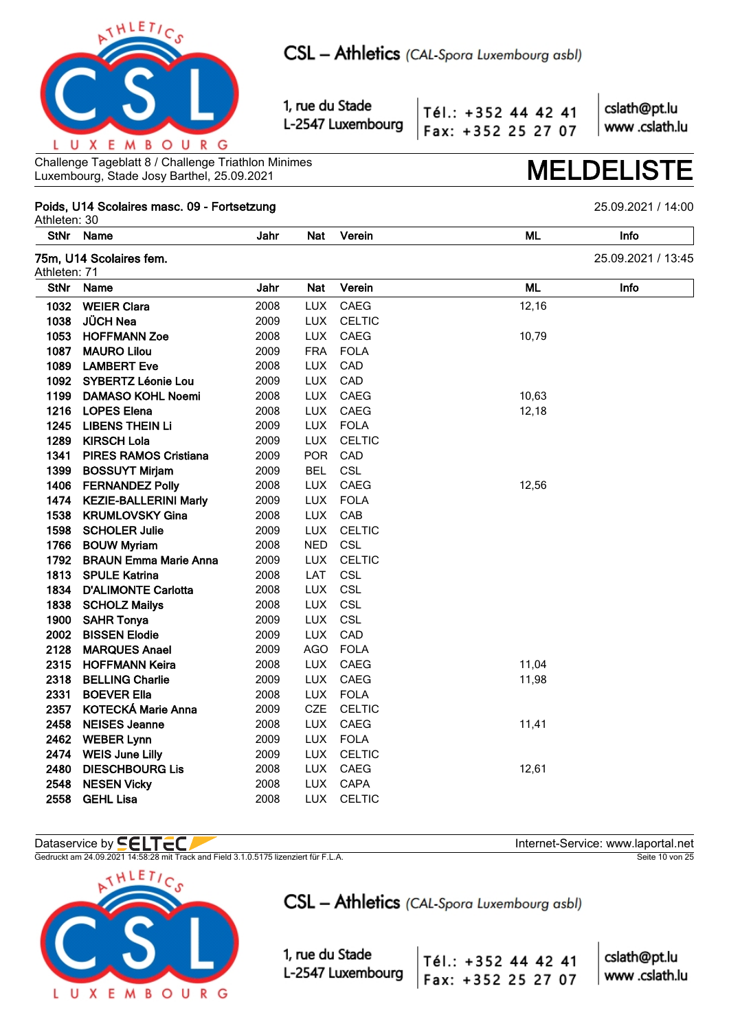

Tél.: +352 44 42 41 Fax: +352 25 27 07 cslath@pt.lu www.cslath.lu

Challenge Tageblatt 8 / Challenge Triathlon Minimes Luxembourg, Stade Josy Barthel, 25.09.2021 **MELDELISTE**

## **Poids, U14 Scolaires masc. 09 - Fortsetzung** 25.09.2021 / 14:00

Athleten: 30 **StNr Name Jahr Nat Verein ML Info 75m, U14 Scolaires fem.** 25.09.2021 / 13:45 Athleten: 71 **StNr Name Jahr Nat Verein ML Info WEIER Clara** 2008 LUX CAEG 12,16 **JÜCH Nea** 2009 LUX CELTIC **HOFFMANN Zoe** 2008 LUX CAEG 10,79 **MAURO Lilou** 2009 FRA FOLA **LAMBERT Eve** 2008 LUX CAD **SYBERTZ Léonie Lou** 2009 LUX CAD **1199 DAMASO KOHL Noemi** 2008 LUX CAEG 2008 2008 2008 2008 **1216 LOPES Elena** 2008 LUX CAEG 12,18 **LIBENS THEIN Li** 2009 LUX FOLA **KIRSCH Lola** 2009 LUX CELTIC **PIRES RAMOS Cristiana** 2009 POR CAD **BOSSUYT Mirjam** 2009 BEL CSL **1406 FERNANDEZ Polly 12,008 LUX CAEG 12,56 KEZIE-BALLERINI Marly** 2009 LUX FOLA **KRUMLOVSKY Gina** 2008 LUX CAB **SCHOLER Julie** 2009 LUX CELTIC **BOUW Myriam** 2008 NED CSL **BRAUN Emma Marie Anna** 2009 LUX CELTIC **SPULE Katrina** 2008 LAT CSL **D'ALIMONTE Carlotta** 2008 LUX CSL **SCHOLZ Mailys** 2008 LUX CSL **SAHR Tonya** 2009 LUX CSL **BISSEN Elodie** 2009 LUX CAD **MARQUES Anael** 2009 AGO FOLA **2315 HOFFMANN Keira** 2008 LUX CAEG 11,04 **BELLING Charlie** 2009 LUX CAEG 11,98 **BOEVER Ella** 2008 LUX FOLA **KOTECKÁ Marie Anna** 2009 CZE CELTIC **2458 NEISES Jeanne** 2008 LUX CAEG 11,41 **WEBER Lynn** 2009 LUX FOLA **WEIS June Lilly** 2009 LUX CELTIC **2480 DIESCHBOURG Lis** 2008 LUX CAEG 12,61 **NESEN Vicky** 2008 LUX CAPA **GEHL Lisa** 2008 LUX CELTIC

## Dataservice by **SELTEC**

Gedruckt am 24.09.2021 14:58:28 mit Track and Field 3.1.0.5175 lizenziert für F.L.A. Seite 10 von 25



CSL - Athletics (CAL-Spora Luxembourg asbl)

1, rue du Stade L-2547 Luxembourg

 $\overline{\phantom{a}}$ 

| Tél.: +352 44 42 41 |  | cslath@pt.lu  |
|---------------------|--|---------------|
| Fax: +352 25 27 07  |  | www.cslath.lu |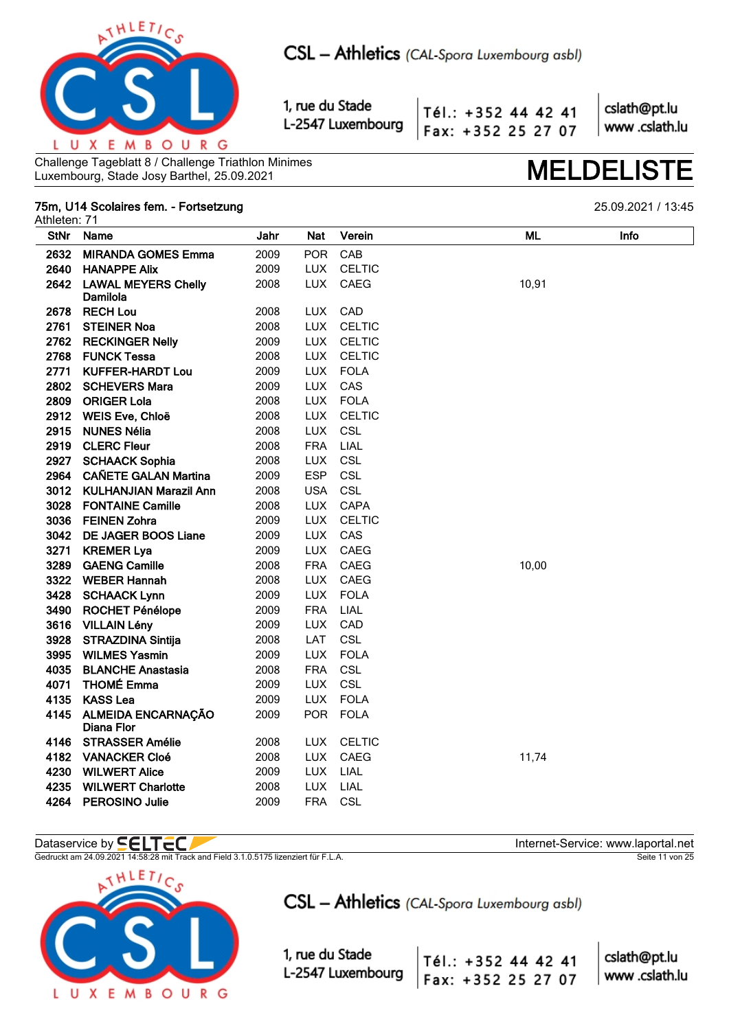

Tél.: +352 44 42 41 Fax: +352 25 27 07

cslath@pt.lu www.cslath.lu

Challenge Tageblatt 8 / Challenge Triathlon Minimes Luxembourg, Stade Josy Barthel, 25.09.2021

## 75m, U14 Scolaires fem. - Fortsetzung

25.09.2021 / 13:45

**MELDELIS** 

| Athleten: 71 |                                        |      |            |               |       |      |
|--------------|----------------------------------------|------|------------|---------------|-------|------|
| <b>StNr</b>  | Name                                   | Jahr | <b>Nat</b> | Verein        | ML    | Info |
| 2632         | <b>MIRANDA GOMES Emma</b>              | 2009 | <b>POR</b> | CAB           |       |      |
| 2640         | <b>HANAPPE Alix</b>                    | 2009 | <b>LUX</b> | <b>CELTIC</b> |       |      |
| 2642         | <b>LAWAL MEYERS Chelly</b><br>Damilola | 2008 | <b>LUX</b> | CAEG          | 10,91 |      |
| 2678         | <b>RECH Lou</b>                        | 2008 | LUX.       | CAD           |       |      |
| 2761         | <b>STEINER Noa</b>                     | 2008 | <b>LUX</b> | <b>CELTIC</b> |       |      |
| 2762         | <b>RECKINGER Nelly</b>                 | 2009 | <b>LUX</b> | <b>CELTIC</b> |       |      |
| 2768         | <b>FUNCK Tessa</b>                     | 2008 | <b>LUX</b> | <b>CELTIC</b> |       |      |
| 2771         | <b>KUFFER-HARDT Lou</b>                | 2009 | <b>LUX</b> | <b>FOLA</b>   |       |      |
| 2802         | <b>SCHEVERS Mara</b>                   | 2009 | <b>LUX</b> | CAS           |       |      |
| 2809         | <b>ORIGER Lola</b>                     | 2008 | <b>LUX</b> | <b>FOLA</b>   |       |      |
| 2912         | WEIS Eve, Chloë                        | 2008 | LUX.       | <b>CELTIC</b> |       |      |
| 2915         | <b>NUNES Nélia</b>                     | 2008 | <b>LUX</b> | CSL           |       |      |
| 2919         | <b>CLERC Fleur</b>                     | 2008 | <b>FRA</b> | LIAL          |       |      |
|              | 2927 SCHAACK Sophia                    | 2008 | <b>LUX</b> | CSL           |       |      |
|              | 2964 CAÑETE GALAN Martina              | 2009 | <b>ESP</b> | CSL           |       |      |
| 3012         | <b>KULHANJIAN Marazil Ann</b>          | 2008 | <b>USA</b> | CSL           |       |      |
| 3028         | <b>FONTAINE Camille</b>                | 2008 | <b>LUX</b> | CAPA          |       |      |
| 3036         | <b>FEINEN Zohra</b>                    | 2009 | <b>LUX</b> | <b>CELTIC</b> |       |      |
| 3042         | <b>DE JAGER BOOS Liane</b>             | 2009 | <b>LUX</b> | CAS           |       |      |
| 3271         | <b>KREMER Lya</b>                      | 2009 | <b>LUX</b> | CAEG          |       |      |
| 3289         | <b>GAENG Camille</b>                   | 2008 | <b>FRA</b> | CAEG          | 10,00 |      |
|              | 3322 WEBER Hannah                      | 2008 | <b>LUX</b> | <b>CAEG</b>   |       |      |
|              | 3428 SCHAACK Lynn                      | 2009 | <b>LUX</b> | <b>FOLA</b>   |       |      |
| 3490         | <b>ROCHET Pénélope</b>                 | 2009 | <b>FRA</b> | LIAL          |       |      |
|              | 3616 VILLAIN Lény                      | 2009 | <b>LUX</b> | CAD           |       |      |
| 3928         | <b>STRAZDINA Sintija</b>               | 2008 | LAT        | CSL           |       |      |
| 3995         | <b>WILMES Yasmin</b>                   | 2009 | <b>LUX</b> | <b>FOLA</b>   |       |      |
| 4035         | <b>BLANCHE Anastasia</b>               | 2008 | <b>FRA</b> | CSL           |       |      |
|              | 4071 THOMÉ Emma                        | 2009 | <b>LUX</b> | CSL           |       |      |
| 4135         | <b>KASS Lea</b>                        | 2009 | <b>LUX</b> | <b>FOLA</b>   |       |      |
|              | 4145 ALMEIDA ENCARNAÇÃO<br>Diana Flor  | 2009 | <b>POR</b> | <b>FOLA</b>   |       |      |
| 4146         | <b>STRASSER Amélie</b>                 | 2008 | <b>LUX</b> | <b>CELTIC</b> |       |      |
|              | 4182 VANACKER Cloé                     | 2008 | <b>LUX</b> | CAEG          | 11,74 |      |
|              | 4230 WILWERT Alice                     | 2009 | <b>LUX</b> | LIAL          |       |      |
| 4235         | <b>WILWERT Charlotte</b>               | 2008 | <b>LUX</b> | LIAL          |       |      |
| 4264         | <b>PEROSINO Julie</b>                  | 2009 | <b>FRA</b> | <b>CSL</b>    |       |      |

Dataservice by **CCLTCC/**<br>Gedruckt am 24.09.2021 14:58:28 mit Track and Field 3.1.0.5175 lizenziert für F.L.A.



CSL - Athletics (CAL-Spora Luxembourg asbl)

Tél.: +352 44 42 41

Fax: +352 25 27 07

1, rue du Stade L-2547 Luxembourg Internet-Service: www.laportal.net Seite 11 von 25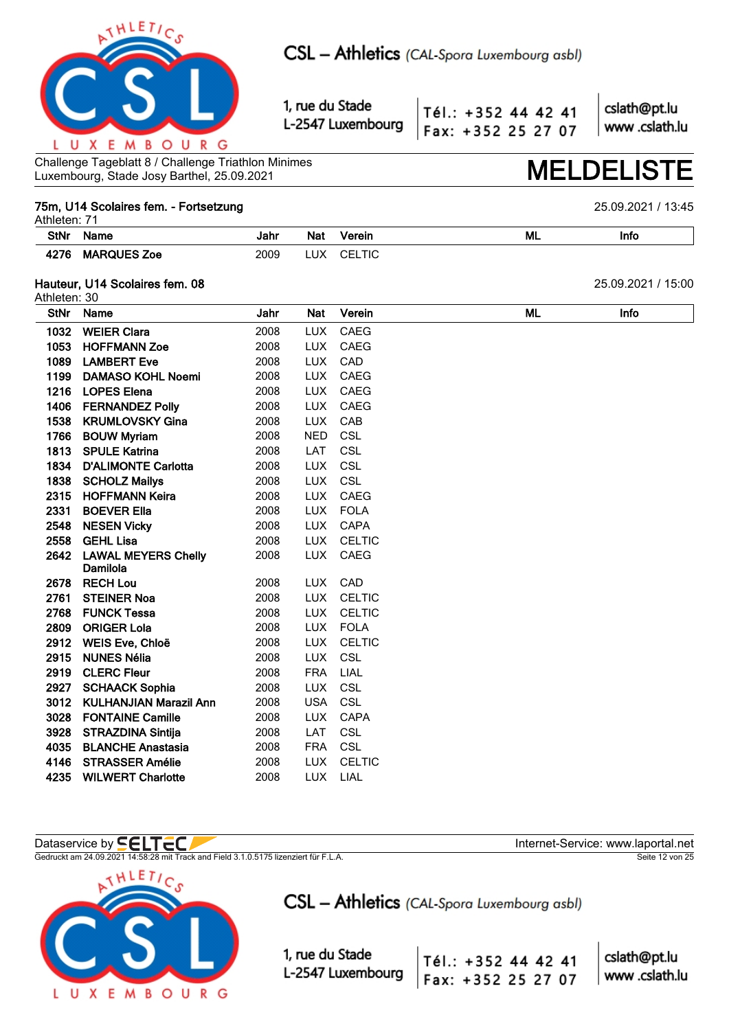

Tél.: +352 44 42 41 Fax: +352 25 27 07 cslath@pt.lu www.cslath.lu

Challenge Tageblatt 8 / Challenge Triathlon Minimes Luxembourg, Stade Josy Barthel, 25.09.2021 **MELDELISTE**

## **75m, U14 Scolaires fem. - Fortsetzung** 25.09.2021 / 13:45

Athleten: 71 **StNr Name Jahr Nat Verein ML Info 4276 MARQUES Zoe** 2009 LUX CELTIC

## **Hauteur, U14 Scolaires fem. 08** 25.09.2021 / 15:00

Athleten: 30 **StNr Name Jahr Nat Verein ML Info WEIER Clara** 2008 LUX CAEG **HOFFMANN Zoe** 2008 LUX CAEG **LAMBERT Eve** 2008 LUX CAD **DAMASO KOHL Noemi** 2008 LUX CAEG **LOPES Elena** 2008 LUX CAEG **FERNANDEZ Polly** 2008 LUX CAEG **KRUMLOVSKY Gina** 2008 LUX CAB **BOUW Myriam** 2008 NED CSL **SPULE Katrina** 2008 LAT CSL **D'ALIMONTE Carlotta** 2008 LUX CSL **1838 SCHOLZ Mailys** 2008 LUX CSL **HOFFMANN Keira** 2008 LUX CAEG **BOEVER Ella** 2008 LUX FOLA **NESEN Vicky** 2008 LUX CAPA **GEHL Lisa** 2008 LUX CELTIC **LAWAL MEYERS Chelly Damilola** 2008 LUX CAEG **RECH Lou** 2008 LUX CAD **STEINER Noa** 2008 LUX CELTIC **FUNCK Tessa** 2008 LUX CELTIC **2809 ORIGER Lola** 2008 LUX FOLA **WEIS Eve, Chloë** 2008 LUX CELTIC **NUNES Nélia** 2008 LUX CSL **CLERC Fleur** 2008 FRA LIAL **SCHAACK Sophia** 2008 LUX CSL **KULHANJIAN Marazil Ann** 2008 USA CSL **FONTAINE Camille** 2008 LUX CAPA **STRAZDINA Sintija** 2008 LAT CSL **BLANCHE Anastasia** 2008 FRA CSL **STRASSER Amélie** 2008 LUX CELTIC **WILWERT Charlotte** 2008 LUX LIAL

## Dataservice by **SELTEC**

Gedruckt am 24.09.2021 14:58:28 mit Track and Field 3.1.0.5175 lizenziert für F.L.A. Seite 12 von 25



CSL - Athletics (CAL-Spora Luxembourg asbl)

Tél.: +352 44 42 41

Fax: +352 25 27 07

1, rue du Stade L-2547 Luxembourg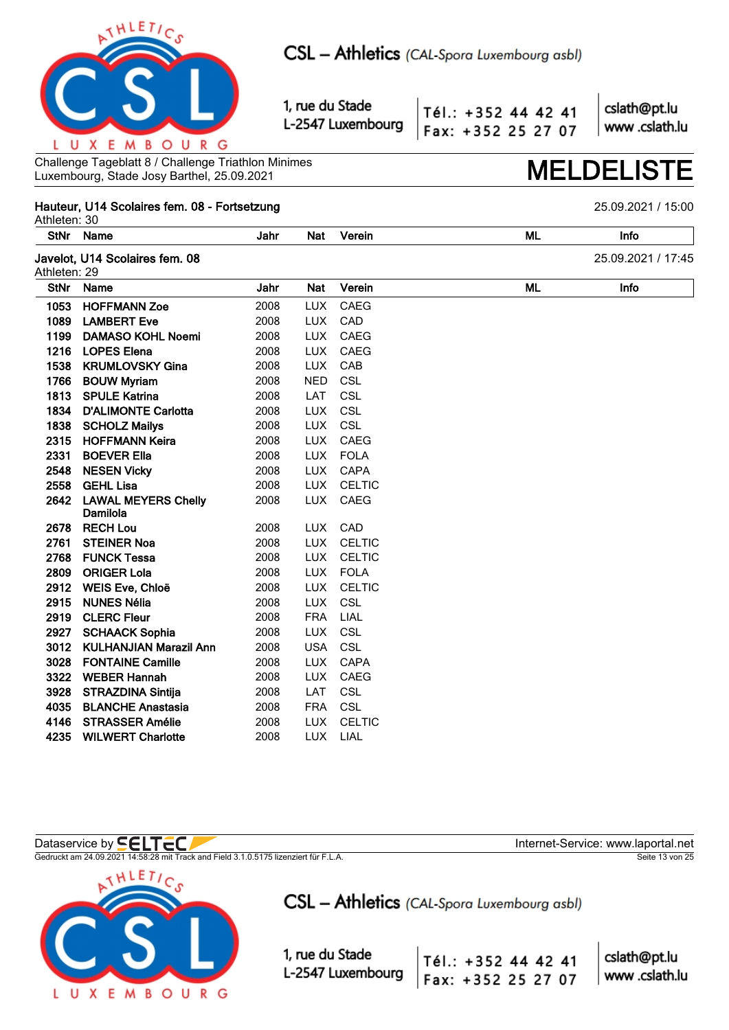

Tél.: +352 44 42 41 Fax: +352 25 27 07 cslath@pt.lu www.cslath.lu

Challenge Tageblatt 8 / Challenge Triathlon Minimes Challenge Tageblatt 8 / Challenge Triathlon Minimes<br>Luxembourg, Stade Josy Barthel, 25.09.2021 **MELDELIS** 

## **Hauteur, U14 Scolaires fem. 08 - Fortsetzung** 25.09.2021 / 15:00

Athleten: 30 **StNr Name Jahr Nat Verein ML Info Javelot, U14 Scolaires fem. 08** 25.09.2021 / 17:45 Athleten: 29 **StNr Name Jahr Nat Verein ML Info HOFFMANN Zoe** 2008 LUX CAEG **LAMBERT Eve** 2008 LUX CAD **DAMASO KOHL Noemi** 2008 LUX CAEG **LOPES Elena** 2008 LUX CAEG **KRUMLOVSKY Gina** 2008 LUX CAB **BOUW Myriam** 2008 NED CSL **SPULE Katrina** 2008 LAT CSL **D'ALIMONTE Carlotta** 2008 LUX CSL **1838 SCHOLZ Mailys** 2008 LUX CSL **HOFFMANN Keira** 2008 LUX CAEG **BOEVER Ella** 2008 LUX FOLA **NESEN Vicky** 2008 LUX CAPA **GEHL Lisa** 2008 LUX CELTIC **LAWAL MEYERS Chelly Damilola** 2008 LUX CAEG **RECH Lou** 2008 LUX CAD **STEINER Noa** 2008 LUX CELTIC **FUNCK Tessa** 2008 LUX CELTIC **2809 ORIGER Lola** 2008 LUX FOLA **WEIS Eve, Chloë** 2008 LUX CELTIC **NUNES Nélia** 2008 LUX CSL **CLERC Fleur** 2008 FRA LIAL **SCHAACK Sophia** 2008 LUX CSL **KULHANJIAN Marazil Ann** 2008 USA CSL **FONTAINE Camille** 2008 LUX CAPA **WEBER Hannah** 2008 LUX CAEG **STRAZDINA Sintija** 2008 LAT CSL **BLANCHE Anastasia** 2008 FRA CSL **STRASSER Amélie** 2008 LUX CELTIC **WILWERT Charlotte** 2008 LUX LIAL

Gedruckt am 24.09.2021 14:58:28 mit Track and Field 3.1.0.5175 lizenziert für F.L.A. Seite 13 von 25



Dataservice by **SELTEC** 

CSL - Athletics (CAL-Spora Luxembourg asbl)

1, rue du Stade L-2547 Luxembourg

Tél.: +352 44 42 41 Fax: +352 25 27 07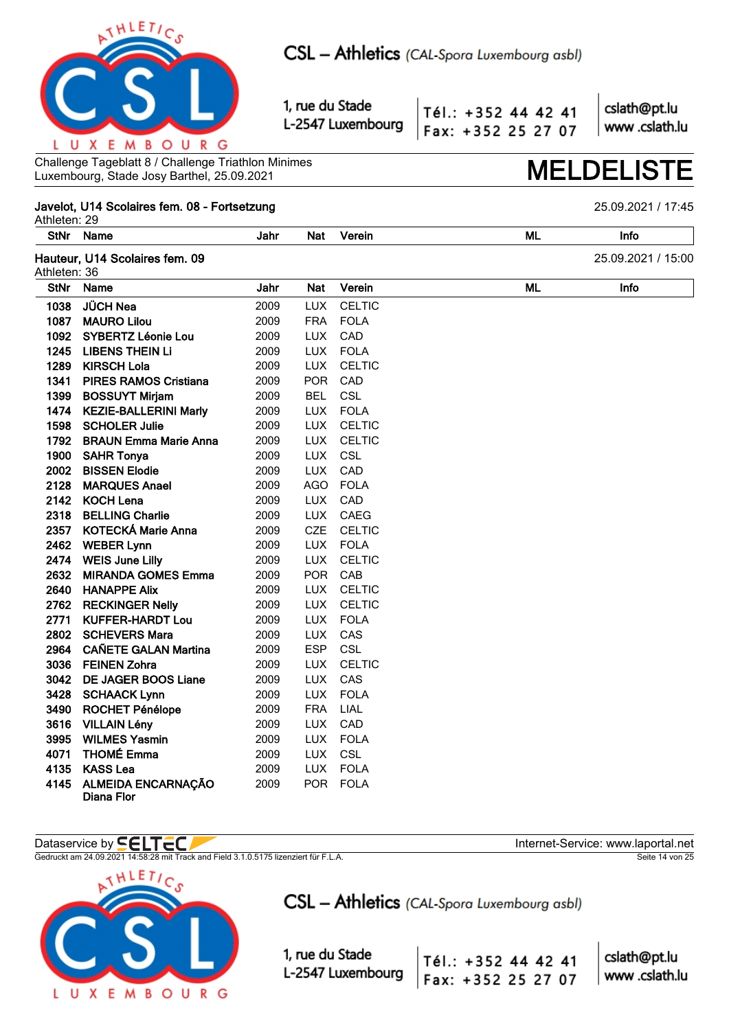

Tél.: +352 44 42 41 Fax: +352 25 27 07 cslath@pt.lu www.cslath.lu

Challenge Tageblatt 8 / Challenge Triathlon Minimes Luxembourg, Stade Josy Barthel, 25.09.2021 **MELDELISTE**

## **Javelot, U14 Scolaires fem. 08 - Fortsetzung** 25.09.2021 / 17:45

Athleten: 29 **StNr Name Jahr Nat Verein ML Info Hauteur, U14 Scolaires fem. 09** 25.09.2021 / 15:00 Athleten: 36 **StNr Name Jahr Nat Verein ML Info JÜCH Nea** 2009 LUX CELTIC **MAURO Lilou** 2009 FRA FOLA **SYBERTZ Léonie Lou** 2009 LUX CAD **LIBENS THEIN Li** 2009 LUX FOLA **KIRSCH Lola** 2009 LUX CELTIC **PIRES RAMOS Cristiana** 2009 POR CAD **BOSSUYT Mirjam** 2009 BEL CSL **KEZIE-BALLERINI Marly** 2009 LUX FOLA **SCHOLER Julie** 2009 LUX CELTIC **BRAUN Emma Marie Anna** 2009 LUX CELTIC **SAHR Tonya** 2009 LUX CSL **BISSEN Elodie** 2009 LUX CAD **MARQUES Anael** 2009 AGO FOLA **KOCH Lena** 2009 LUX CAD **BELLING Charlie** 2009 LUX CAEG **KOTECKÁ Marie Anna** 2009 CZE CELTIC **WEBER Lynn** 2009 LUX FOLA **WEIS June Lilly** 2009 LUX CELTIC **MIRANDA GOMES Emma** 2009 POR CAB **HANAPPE Alix** 2009 LUX CELTIC **RECKINGER Nelly** 2009 LUX CELTIC **KUFFER-HARDT Lou** 2009 LUX FOLA **SCHEVERS Mara** 2009 LUX CAS **CAÑETE GALAN Martina** 2009 ESP CSL **FEINEN Zohra** 2009 LUX CELTIC **DE JAGER BOOS Liane** 2009 LUX CAS **SCHAACK Lynn** 2009 LUX FOLA **ROCHET Pénélope** 2009 FRA LIAL **VILLAIN Lény** 2009 LUX CAD **WILMES Yasmin** 2009 LUX FOLA **THOMÉ Emma** 2009 LUX CSL **KASS Lea** 2009 LUX FOLA **ALMEIDA ENCARNAÇÃO Diana Flor** 2009 POR FOLA

## Dataservice by **SELTEC**

Gedruckt am 24.09.2021 14:58:28 mit Track and Field 3.1.0.5175 lizenziert für F.L.A. Seite 14 von 25



CSL - Athletics (CAL-Spora Luxembourg asbl)

Tél.: +352 44 42 41

Fax: +352 25 27 07

1, rue du Stade L-2547 Luxembourg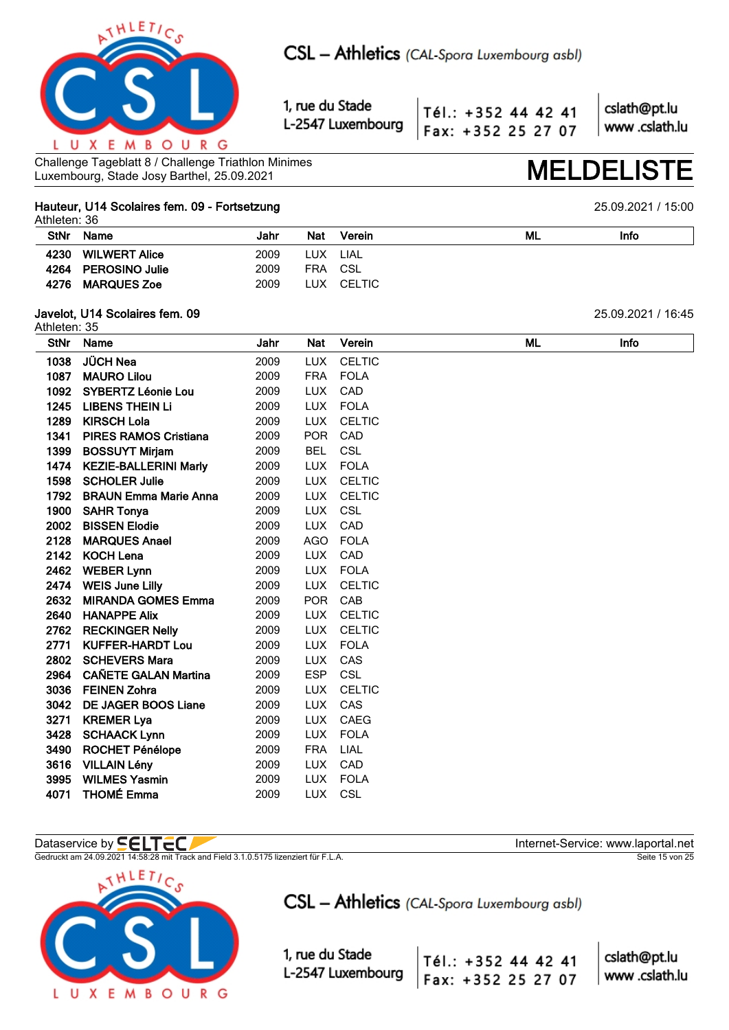

Tél.: +352 44 42 41 Fax: +352 25 27 07 cslath@pt.lu www.cslath.lu

Challenge Tageblatt 8 / Challenge Triathlon Minimes Luxembourg, Stade Josy Barthel, 25.09.2021 **MELDELISTE**

### **Hauteur, U14 Scolaires fem. 09 - Fortsetzung** 25.09.2021 / 15:00 Athleten: 36

|             | Attileten. 30        |      |            |            |    |      |  |  |  |  |  |
|-------------|----------------------|------|------------|------------|----|------|--|--|--|--|--|
| <b>StNr</b> | Name                 | Jahr | <b>Nat</b> | Verein     | ML | Info |  |  |  |  |  |
| 4230        | <b>WILWERT Alice</b> | 2009 | LUX LIAL   |            |    |      |  |  |  |  |  |
|             | 4264 PEROSINO Julie  | 2009 | FRA CSL    |            |    |      |  |  |  |  |  |
| 4276        | <b>MARQUES Zoe</b>   | 2009 |            | LUX CELTIC |    |      |  |  |  |  |  |
|             |                      |      |            |            |    |      |  |  |  |  |  |

## **Javelot, U14 Scolaires fem. 09** 25.09.2021 / 16:45

Athleten: 35 **StNr Name Jahr Nat Verein ML Info JÜCH Nea** 2009 LUX CELTIC **MAURO Lilou** 2009 FRA FOLA **SYBERTZ Léonie Lou** 2009 LUX CAD **LIBENS THEIN Li** 2009 LUX FOLA **KIRSCH Lola** 2009 LUX CELTIC **PIRES RAMOS Cristiana** 2009 POR CAD **BOSSUYT Mirjam** 2009 BEL CSL **KEZIE-BALLERINI Marly** 2009 LUX FOLA **SCHOLER Julie** 2009 LUX CELTIC **BRAUN Emma Marie Anna** 2009 LUX CELTIC **SAHR Tonya** 2009 LUX CSL **BISSEN Elodie** 2009 LUX CAD **MARQUES Anael** 2009 AGO FOLA **KOCH Lena** 2009 LUX CAD **WEBER Lynn** 2009 LUX FOLA **WEIS June Lilly** 2009 LUX CELTIC **MIRANDA GOMES Emma** 2009 POR CAB **HANAPPE Alix** 2009 LUX CELTIC **RECKINGER Nelly** 2009 LUX CELTIC **KUFFER-HARDT Lou** 2009 LUX FOLA **SCHEVERS Mara** 2009 LUX CAS **CAÑETE GALAN Martina** 2009 ESP CSL **FEINEN Zohra** 2009 LUX CELTIC **DE JAGER BOOS Liane** 2009 LUX CAS **3271 KREMER Lya** 2009 LUX CAEG **SCHAACK Lynn** 2009 LUX FOLA **ROCHET Pénélope** 2009 FRA LIAL **VILLAIN Lény** 2009 LUX CAD **WILMES Yasmin** 2009 LUX FOLA **THOMÉ Emma** 2009 LUX CSL

## Dataservice by **SELTEC**

Gedruckt am 24.09.2021 14:58:28 mit Track and Field 3.1.0.5175 lizenziert für F.L.A. Seite 15 von 25



CSL - Athletics (CAL-Spora Luxembourg asbl)

1, rue du Stade L-2547 Luxembourg

Tél.: +352 44 42 41 Fax: +352 25 27 07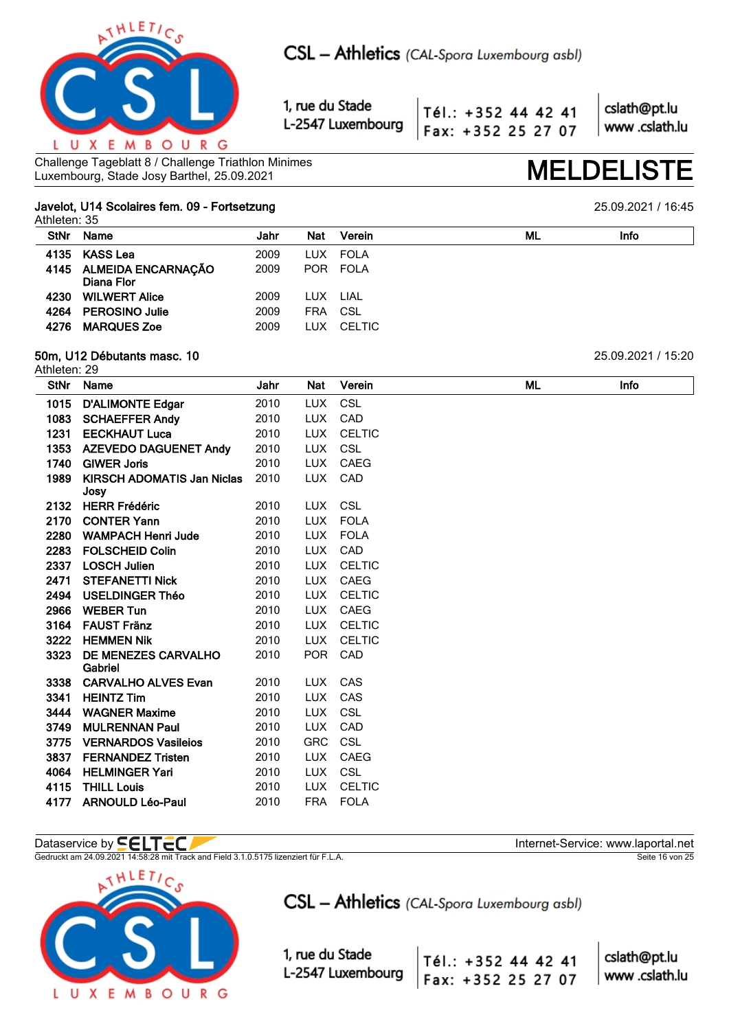

Tél.: +352 44 42 41 Fax: +352 25 27 07

cslath@pt.lu www.cslath.lu

Challenge Tageblatt 8 / Challenge Triathlon Minimes Challenge Tageblatt 8 / Challenge Triathlon Minimes<br>Luxembourg, Stade Josy Barthel, 25.09.2021 **MELDELIS** 

## **Javelot, U14 Scolaires fem. 09 - Fortsetzung** 25.09.2021 / 16:45

Athleten: 35

| <b>StNr</b> | Name                                  | Jahr | Nat        | Verein      | ML | Info |
|-------------|---------------------------------------|------|------------|-------------|----|------|
|             | 4135 KASS Lea                         | 2009 |            | LUX FOLA    |    |      |
|             | 4145 ALMEIDA ENCARNAÇÃO<br>Diana Flor | 2009 | POR        | <b>FOLA</b> |    |      |
| 4230        | <b>WILWERT Alice</b>                  | 2009 | LUX.       | LIAL        |    |      |
|             | 4264 PEROSINO Julie                   | 2009 | <b>FRA</b> | CSL         |    |      |
| 4276        | <b>MARQUES Zoe</b>                    | 2009 | LUX.       | CELTIC      |    |      |
|             |                                       |      |            |             |    |      |

## **50m, U12 Débutants masc. 10** 25.09.2021 / 15:20

Athleten: 29

| StNr         | Name                                          | Jahr         | Nat                      | Verein                    | ML | Info |
|--------------|-----------------------------------------------|--------------|--------------------------|---------------------------|----|------|
| 1015         | <b>D'ALIMONTE Edgar</b>                       | 2010         | <b>LUX</b>               | CSL                       |    |      |
| 1083         | <b>SCHAEFFER Andy</b>                         | 2010         | <b>LUX</b>               | CAD                       |    |      |
| 1231         | <b>EECKHAUT Luca</b>                          | 2010         | <b>LUX</b>               | <b>CELTIC</b>             |    |      |
| 1353         | <b>AZEVEDO DAGUENET Andy</b>                  | 2010         | <b>LUX</b>               | CSL                       |    |      |
| 1740         | <b>GIWER Joris</b>                            | 2010         | <b>LUX</b>               | <b>CAEG</b>               |    |      |
| 1989         | <b>KIRSCH ADOMATIS Jan Niclas</b>             | 2010         | <b>LUX</b>               | CAD                       |    |      |
|              | Josy                                          |              |                          |                           |    |      |
| 2132         | <b>HERR Frédéric</b><br><b>CONTER Yann</b>    | 2010<br>2010 | <b>LUX</b><br><b>LUX</b> | <b>CSL</b><br><b>FOLA</b> |    |      |
| 2170<br>2280 | <b>WAMPACH Henri Jude</b>                     | 2010         | <b>LUX</b>               | <b>FOLA</b>               |    |      |
|              |                                               |              |                          | CAD                       |    |      |
| 2283<br>2337 | <b>FOLSCHEID Colin</b><br><b>LOSCH Julien</b> | 2010<br>2010 | <b>LUX</b><br><b>LUX</b> | <b>CELTIC</b>             |    |      |
| 2471         |                                               | 2010         | <b>LUX</b>               | <b>CAEG</b>               |    |      |
|              | <b>STEFANETTI Nick</b>                        |              |                          |                           |    |      |
| 2494         | <b>USELDINGER Théo</b>                        | 2010         | <b>LUX</b>               | <b>CELTIC</b>             |    |      |
| 2966         | <b>WEBER Tun</b>                              | 2010         | <b>LUX</b>               | CAEG                      |    |      |
| 3164         | <b>FAUST Fränz</b>                            | 2010         | <b>LUX</b>               | <b>CELTIC</b>             |    |      |
| 3222         | <b>HEMMEN Nik</b>                             | 2010         | <b>LUX</b>               | <b>CELTIC</b><br>CAD      |    |      |
| 3323         | <b>DE MENEZES CARVALHO</b><br>Gabriel         | 2010         | <b>POR</b>               |                           |    |      |
| 3338         | <b>CARVALHO ALVES Evan</b>                    | 2010         | <b>LUX</b>               | <b>CAS</b>                |    |      |
| 3341         | <b>HEINTZ Tim</b>                             | 2010         | <b>LUX</b>               | CAS                       |    |      |
| 3444         | <b>WAGNER Maxime</b>                          | 2010         | <b>LUX</b>               | CSL                       |    |      |
| 3749         | <b>MULRENNAN Paul</b>                         | 2010         | <b>LUX</b>               | CAD                       |    |      |
| 3775         | <b>VERNARDOS Vasileios</b>                    | 2010         | <b>GRC</b>               | <b>CSL</b>                |    |      |
| 3837         | <b>FERNANDEZ Tristen</b>                      | 2010         | <b>LUX</b>               | CAEG                      |    |      |
| 4064         | <b>HELMINGER Yari</b>                         | 2010         | <b>LUX</b>               | CSL                       |    |      |
| 4115         | <b>THILL Louis</b>                            | 2010         | <b>LUX</b>               | <b>CELTIC</b>             |    |      |
| 4177         | <b>ARNOULD Léo-Paul</b>                       | 2010         | <b>FRA</b>               | <b>FOLA</b>               |    |      |

## Dataservice by  $\blacksquare\blacksquare\blacksquare\blacksquare\blacksquare\blacksquare$

Gedruckt am 24.09.2021 14:58:28 mit Track and Field 3.1.0.5175 lizenziert für F.L.A. Seite 16 von 25 seite 16 von 25



CSL - Athletics (CAL-Spora Luxembourg asbl)

Tél.: +352 44 42 41

Fax: +352 25 27 07

1, rue du Stade L-2547 Luxembourg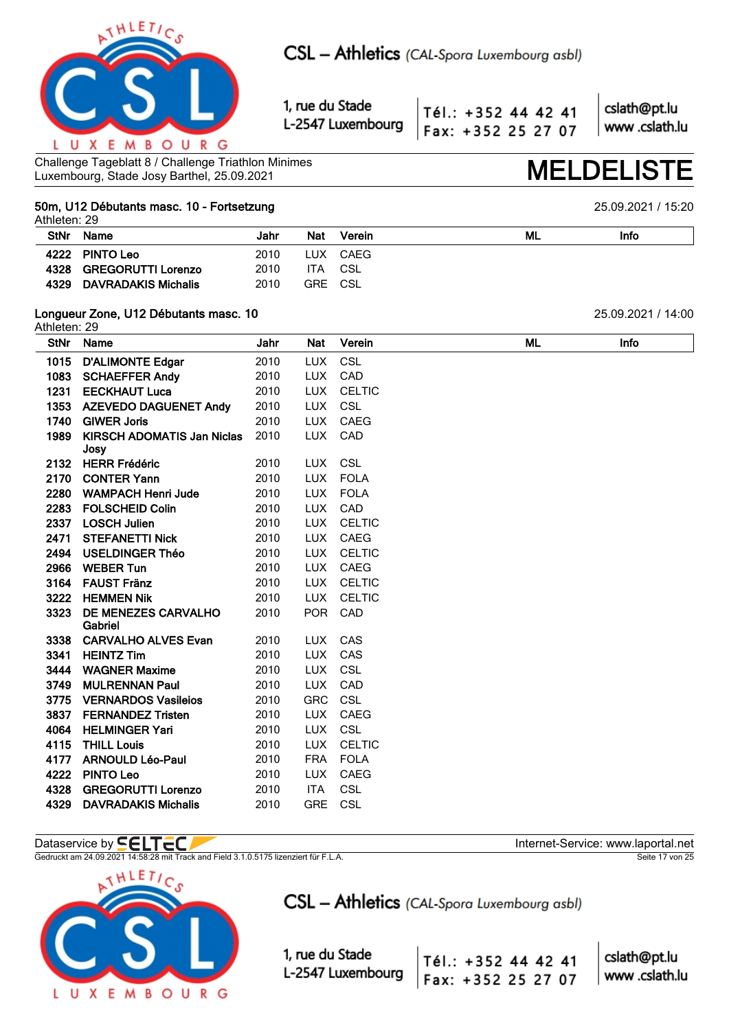

Tél.: +352 44 42 41 Fax: +352 25 27 07 cslath@pt.lu www.cslath.lu

Challenge Tageblatt 8 / Challenge Triathlon Minimes Luxembourg, Stade Josy Barthel, 25.09.2021 **MELDELISTE**

## **50m, U12 Débutants masc. 10 - Fortsetzung** 25.09.2021 / 15:20

Athleten: 29 **StNr Name Jahr Nat Verein ML Info 4222 PINTO Leo** 2010 LUX CAEG **4328 GREGORUTTI Lorenzo** 2010 ITA CSL **4329 DAVRADAKIS Michalis** 2010 GRE CSL

## **Longueur Zone, U12 Débutants masc. 10** 25.09.2021 / 14:00

Athleten: 29 **StNr Name Jahr Nat Verein ML Info D'ALIMONTE Edgar** 2010 LUX CSL **SCHAEFFER Andy** 2010 LUX CAD **EECKHAUT Luca** 2010 LUX CELTIC **AZEVEDO DAGUENET Andy** 2010 LUX CSL **1740 GIWER Joris** 2010 LUX CAEG **KIRSCH ADOMATIS Jan Niclas Josy** 2010 LUX CAD **HERR Frédéric** 2010 LUX CSL **2170 CONTER Yann** 2010 LUX FOLA **WAMPACH Henri Jude** 2010 LUX FOLA **2283 FOLSCHEID Colin** 2010 LUX CAD **LOSCH Julien** 2010 LUX CELTIC **2471 STEFANETTI Nick 2010 LUX CAEG USELDINGER Théo** 2010 LUX CELTIC **WEBER Tun** 2010 LUX CAEG **FAUST Fränz** 2010 LUX CELTIC **HEMMEN Nik** 2010 LUX CELTIC **DE MENEZES CARVALHO Gabriel** 2010 POR CAD **CARVALHO ALVES Evan** 2010 LUX CAS **HEINTZ Tim** 2010 LUX CAS **WAGNER Maxime** 2010 LUX CSL **MULRENNAN Paul** 2010 LUX CAD **VERNARDOS Vasileios** 2010 GRC CSL **FERNANDEZ Tristen** 2010 LUX CAEG **HELMINGER Yari** 2010 LUX CSL **THILL Louis** 2010 LUX CELTIC **ARNOULD Léo-Paul** 2010 FRA FOLA **PINTO Leo** 2010 LUX CAEG **GREGORUTTI Lorenzo** 2010 ITA CSL **DAVRADAKIS Michalis** 2010 GRE CSL

## Dataservice by **SELTEC**

Gedruckt am 24.09.2021 14:58:28 mit Track and Field 3.1.0.5175 lizenziert für F.L.A. Seite 17 von 25



CSL - Athletics (CAL-Spora Luxembourg asbl)

Tél.: +352 44 42 41

Fax: +352 25 27 07

1, rue du Stade L-2547 Luxembourg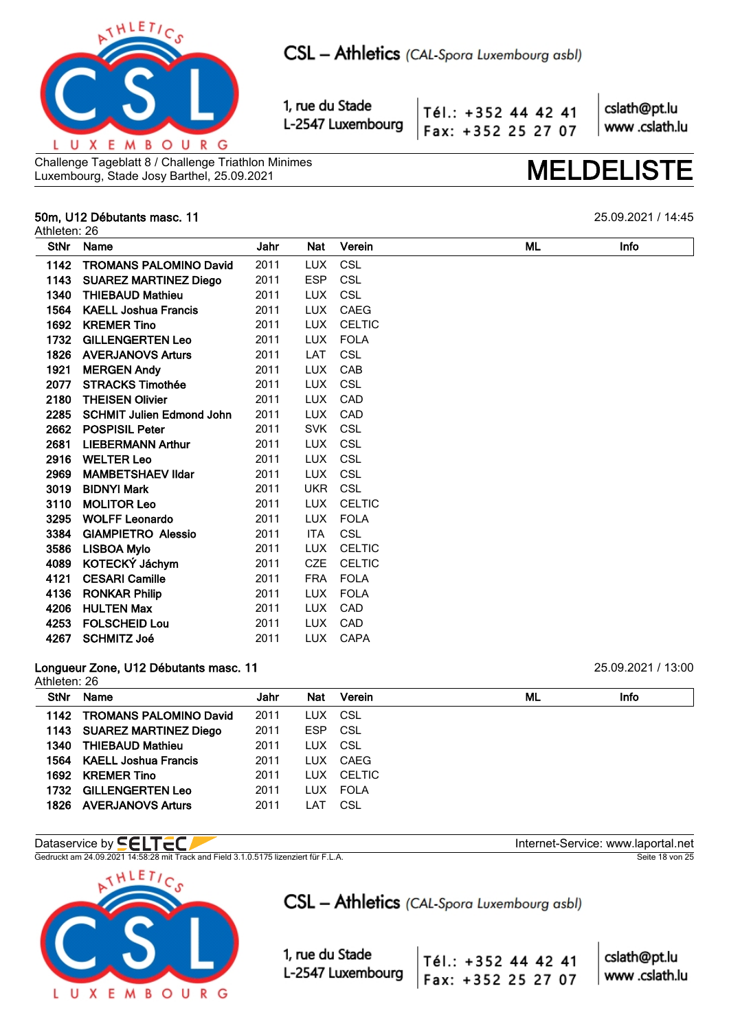

Tél.: +352 44 42 41 Fax: +352 25 27 07 cslath@pt.lu www.cslath.lu

Challenge Tageblatt 8 / Challenge Triathlon Minimes Luxembourg, Stade Josy Barthel, 25.09.2021 **MELDELISTE**

## **50m, U12 Débutants masc. 11** 25.09.2021 / 14:45

Athleten: 26

**StNr Name Jahr Nat Verein ML Info TROMANS PALOMINO David** 2011 LUX CSL **SUAREZ MARTINEZ Diego** 2011 ESP CSL **THIEBAUD Mathieu** 2011 LUX CSL **KAELL Joshua Francis** 2011 LUX CAEG **KREMER Tino** 2011 LUX CELTIC **GILLENGERTEN Leo** 2011 LUX FOLA **AVERJANOVS Arturs** 2011 LAT CSL **MERGEN Andy** 2011 LUX CAB **STRACKS Timothée** 2011 LUX CSL **2180 THEISEN Olivier** 2011 LUX CAD **SCHMIT Julien Edmond John** 2011 LUX CAD **2662 POSPISIL Peter** 2011 SVK CSL **LIEBERMANN Arthur** 2011 LUX CSL **WELTER Leo** 2011 LUX CSL **MAMBETSHAEV Ildar** 2011 LUX CSL **BIDNYI Mark** 2011 UKR CSL **MOLITOR Leo** 2011 LUX CELTIC **WOLFF Leonardo** 2011 LUX FOLA **GIAMPIETRO Alessio** 2011 ITA CSL **LISBOA Mylo** 2011 LUX CELTIC **KOTECKÝ Jáchym** 2011 CZE CELTIC **CESARI Camille** 2011 FRA FOLA **4136 RONKAR Philip 12011 LUX FOLA HULTEN Max** 2011 LUX CAD **FOLSCHEID Lou** 2011 LUX CAD **SCHMITZ Joé** 2011 LUX CAPA

### **Longueur Zone, U12 Débutants masc. 11** 25.09.2021 / 13:00  $A<sub>th</sub>$   $A<sub>th</sub>$   $A<sub>th</sub>$

|             | AUICIGII. ZU                |      |         |            |  |    |      |  |  |  |
|-------------|-----------------------------|------|---------|------------|--|----|------|--|--|--|
| <b>StNr</b> | <b>Name</b>                 | Jahr | Nat     | Verein     |  | ML | Info |  |  |  |
|             | 1142 TROMANS PALOMINO David | 2011 |         | LUX CSL    |  |    |      |  |  |  |
|             | 1143 SUAREZ MARTINEZ Diego  | 2011 | ESP CSL |            |  |    |      |  |  |  |
|             | 1340 THIEBAUD Mathieu       | 2011 |         | LUX CSL    |  |    |      |  |  |  |
|             | 1564 KAELL Joshua Francis   | 2011 | LUX.    | CAEG       |  |    |      |  |  |  |
|             | 1692 KREMER Tino            | 2011 |         | LUX CELTIC |  |    |      |  |  |  |
| 1732        | <b>GILLENGERTEN Leo</b>     | 2011 |         | LUX FOLA   |  |    |      |  |  |  |
|             | 1826 AVERJANOVS Arturs      | 2011 | LAT     | CSL        |  |    |      |  |  |  |
|             |                             |      |         |            |  |    |      |  |  |  |

## Dataservice by **SELTEC**

Gedruckt am 24.09.2021 14:58:28 mit Track and Field 3.1.0.5175 lizenziert für F.L.A. Seite 18 von 25



Tél.: +352 44 42 41

Fax: +352 25 27 07

1, rue du Stade L-2547 Luxembourg

 $\overline{\phantom{a}}$ 

| cslath@pt.lu  |
|---------------|
| www.cslath.lu |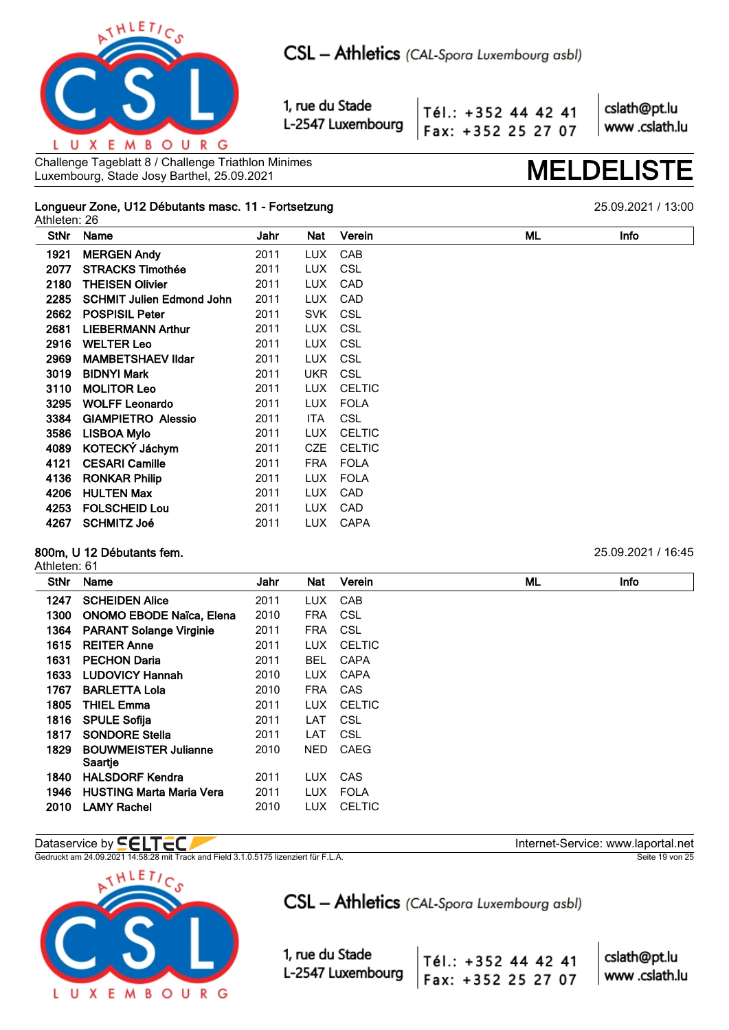

Tél.: +352 44 42 41 Fax: +352 25 27 07 cslath@pt.lu www.cslath.lu

Challenge Tageblatt 8 / Challenge Triathlon Minimes Challenge Tageblatt 8 / Challenge Triathlon Minimes<br>Luxembourg, Stade Josy Barthel, 25.09.2021 **MELDELIS** 

### **Longueur Zone, U12 Débutants masc. 11 - Fortsetzung** 25.09.2021 / 13:00 Athleten: 26

**StNr Name Jahr Nat Verein ML Info MERGEN Andy** 2011 LUX CAB **STRACKS Timothée** 2011 LUX CSL **2180 THEISEN Olivier 2011 LUX CAD SCHMIT Julien Edmond John** 2011 LUX CAD **POSPISIL Peter** 2011 SVK CSL **LIEBERMANN Arthur** 2011 LUX CSL **WELTER Leo** 2011 LUX CSL **MAMBETSHAEV Ildar** 2011 LUX CSL **BIDNYI Mark** 2011 UKR CSL **MOLITOR Leo** 2011 LUX CELTIC **WOLFF Leonardo** 2011 LUX FOLA **GIAMPIETRO Alessio** 2011 ITA CSL **LISBOA Mylo** 2011 LUX CELTIC **KOTECKÝ Jáchym** 2011 CZE CELTIC **CESARI Camille** 2011 FRA FOLA **4136 RONKAR Philip 12011 LUX FOLA HULTEN Max** 2011 LUX CAD **FOLSCHEID Lou** 2011 LUX CAD **SCHMITZ Joé** 2011 LUX CAPA

## **800m, U 12 Débutants fem.** 25.09.2021 / 16:45

### Athleten: 61

| <b>StNr</b> | Name                                   | Jahr | Nat        | Verein        | ML | Info |  |  |  |  |
|-------------|----------------------------------------|------|------------|---------------|----|------|--|--|--|--|
| 1247        | <b>SCHEIDEN Alice</b>                  | 2011 | LUX.       | CAB           |    |      |  |  |  |  |
| 1300        | ONOMO EBODE Naïca, Elena               | 2010 | <b>FRA</b> | CSL           |    |      |  |  |  |  |
| 1364        | <b>PARANT Solange Virginie</b>         | 2011 | <b>FRA</b> | CSL           |    |      |  |  |  |  |
| 1615        | <b>REITER Anne</b>                     | 2011 | LUX.       | <b>CELTIC</b> |    |      |  |  |  |  |
| 1631        | <b>PECHON Daria</b>                    | 2011 | <b>BEL</b> | <b>CAPA</b>   |    |      |  |  |  |  |
| 1633        | <b>LUDOVICY Hannah</b>                 | 2010 | LUX.       | <b>CAPA</b>   |    |      |  |  |  |  |
| 1767        | <b>BARLETTA Lola</b>                   | 2010 | <b>FRA</b> | <b>CAS</b>    |    |      |  |  |  |  |
| 1805        | <b>THIEL Emma</b>                      | 2011 | LUX.       | <b>CELTIC</b> |    |      |  |  |  |  |
| 1816        | <b>SPULE Sofija</b>                    | 2011 | LAT        | CSL           |    |      |  |  |  |  |
| 1817        | <b>SONDORE Stella</b>                  | 2011 | LAT        | CSL           |    |      |  |  |  |  |
| 1829        | <b>BOUWMEISTER Julianne</b><br>Saartje | 2010 | NED.       | CAEG          |    |      |  |  |  |  |
| 1840        | <b>HALSDORF Kendra</b>                 | 2011 | LUX.       | CAS           |    |      |  |  |  |  |
| 1946        | <b>HUSTING Marta Maria Vera</b>        | 2011 | <b>LUX</b> | <b>FOLA</b>   |    |      |  |  |  |  |
| 2010        | <b>LAMY Rachel</b>                     | 2010 | LUX.       | <b>CELTIC</b> |    |      |  |  |  |  |

Gedruckt am 24.09.2021 14:58:28 mit Track and Field 3.1.0.5175 lizenziert für F.L.A. Seite 19 von 25



CSL - Athletics (CAL-Spora Luxembourg asbl)

Tél.: +352 44 42 41

Fax: +352 25 27 07

1, rue du Stade L-2547 Luxembourg

Dataservice by **SELTEC**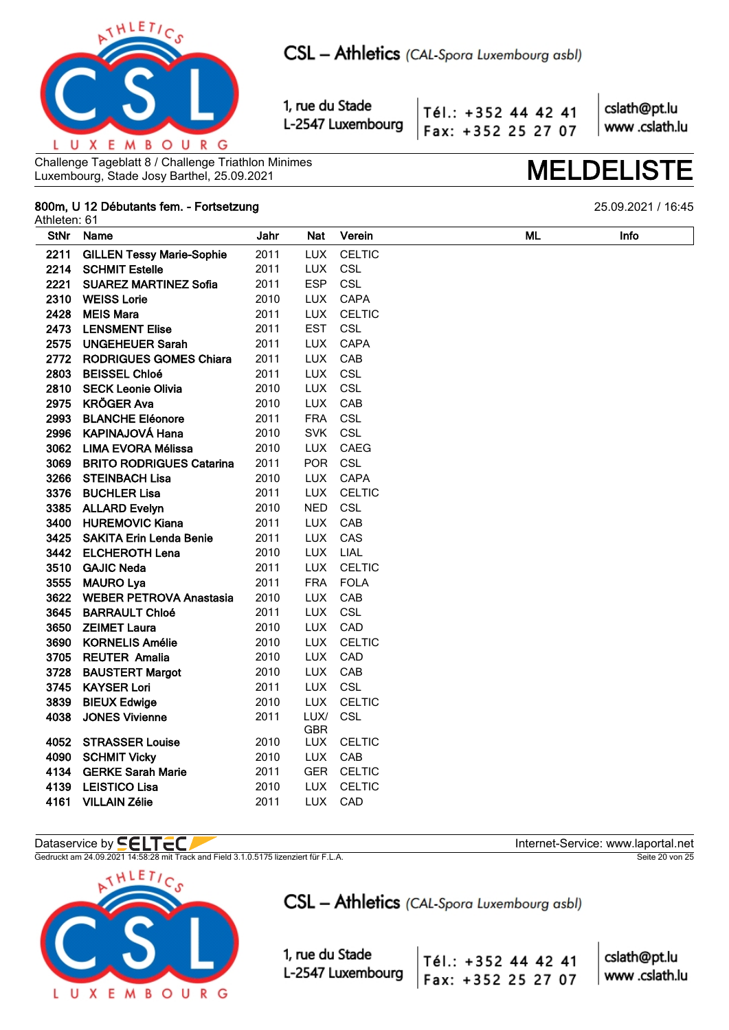

Tél.: +352 44 42 41 Fax: +352 25 27 07 cslath@pt.lu www.cslath.lu

Challenge Tageblatt 8 / Challenge Triathlon Minimes Luxembourg, Stade Josy Barthel, 25.09.2021

### 800m, U 12 Débutants fem. - Fortsetzung Athleten: 61

**ML** 

**StNr** Name Jahr Nat Verein Info 2211 **GILLEN Tessy Marie-Sophie** 2011 **LUX CELTIC** 2214 **SCHMIT Estelle** 2011 TUX CSL 2221 **SUAREZ MARTINEZ Sofia** 2011 **ESP** CSL 2310 **WEISS Lorie** 2010 **LUX** CAPA 2428 **MEIS Mara** LUX **CELTIC** 2011 2473 **LENSMENT Elise** 2011 **EST** CSL 2575 **UNGEHEUER Sarah** 2011 **LUX** CAPA 2772 RODRIGUES GOMES Chiara 2011 **LUX** CAB 2803 **BEISSEL Chloé** 2011 **LUX** CSL 2810 **SECK Leonie Olivia** 2010 **LUX** CSL **KRÖGER Ava LUX**  $CAB$ 2975 2010 2993 **BLANCHE Eléonore** 2011 **FRA** CSL 2996 **KAPINAJOVÁ Hana** 2010 **SVK** CSL 3062 **LIMA EVORA Mélissa** 2010 **LUX CAEG** 3069 **BRITO RODRIGUES Catarina POR** CSL 2011 3266 **STEINBACH Lisa** 2010 CAPA **LUX** 3376 **BUCHLER Lisa** 2011 **LUX** CELTIC 3385 **ALLARD Evelvn** 2010 **NFD** CSL 3400 **HUREMOVIC Kiana** 2011 **LUX** CAB 3425 **SAKITA Erin Lenda Benie** 2011 **LUX** CAS 3442 **ELCHEROTH Lena** 2010 **LUX I IAI GAJIC Neda** 2011 TUX CFI TIC 3510 3555 **MAURO Lya** 2011 **FRA FOLA** 3622 **WEBER PETROVA Anastasia** 2010 **LUX** CAB LUX CSL 3645 2011 **BARRAULT Chloé** 3650 **ZEIMET Laura** 2010 **LUX**  $CAD$ 3690 **KORNELIS Amélie** 2010 **LUX CELTIC** 2010 LUX CAD 3705 **REUTER Amalia** 3728 **BAUSTERT Margot** 2010 **LUX** CAB 3745 **KAYSER Lori** 2011 **LUX** CSL 3839 **BIEUX Edwige** 2010 **LUX CELTIC** 4038 **JONES Vivienne** 2011 LUX/ CSL **GBR STRASSER Louise** 2010 4052 **LUX CELTIC** 4090 **SCHMIT Vicky** 2010 **LUX** CAB 4134 **GERKE Sarah Marie** 2011 **GER** CELTIC 4139 LEISTICO Lisa 2010 **LUX** CELTIC 4161 VILLAIN Zélie 2011 TUX CAD

## Dataservice by **SELTEC**

Gedruckt am 24.09.2021 14:58:28 mit Track and Field 3.1.0.5175 lizenziert für F.L.A.



CSL - Athletics (CAL-Spora Luxembourg asbl)

Tél.: +352 44 42 41

Fax: +352 25 27 07

1, rue du Stade L-2547 Luxembourg

Internet-Service: www.laportal.net

cslath@pt.lu www.cslath.lu

Seite 20 von 25

# **MELDELIST**

25.09.2021 / 16:45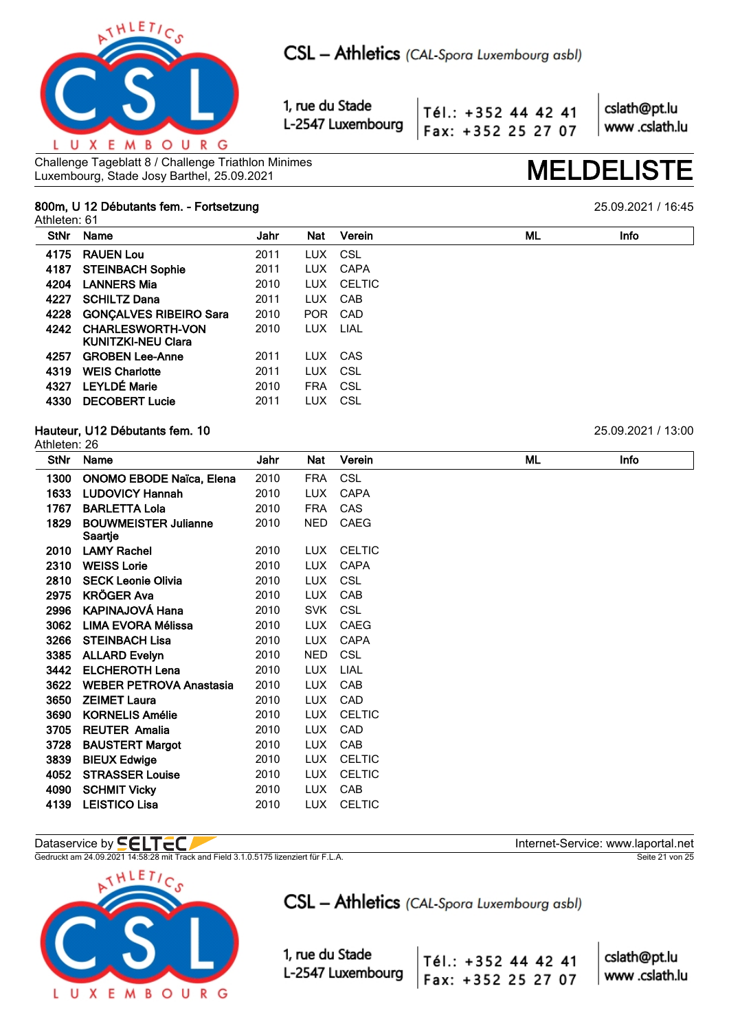

Tél.: +352 44 42 41 Fax: +352 25 27 07 cslath@pt.lu www.cslath.lu

Challenge Tageblatt 8 / Challenge Triathlon Minimes Challenge Tageblatt 8 / Challenge Triathlon Minimes<br>Luxembourg, Stade Josy Barthel, 25.09.2021

## **800m, U 12 Débutants fem. - Fortsetzung** 25.09.2021 / 16:45

Athleten: 61

| <b>StNr</b> | Name                          | Jahr | Nat        | Verein        | ML | Info |
|-------------|-------------------------------|------|------------|---------------|----|------|
| 4175        | <b>RAUEN Lou</b>              | 2011 | <b>LUX</b> | CSL           |    |      |
| 4187        | <b>STEINBACH Sophie</b>       | 2011 | <b>LUX</b> | CAPA          |    |      |
| 4204        | <b>LANNERS Mia</b>            | 2010 | <b>LUX</b> | <b>CELTIC</b> |    |      |
| 4227        | <b>SCHILTZ Dana</b>           | 2011 | LUX.       | CAB           |    |      |
| 4228        | <b>GONÇALVES RIBEIRO Sara</b> | 2010 |            | POR CAD       |    |      |
| 4242        | <b>CHARLESWORTH-VON</b>       | 2010 | LUX.       | LIAL          |    |      |
|             | <b>KUNITZKI-NEU Clara</b>     |      |            |               |    |      |
| 4257        | <b>GROBEN Lee-Anne</b>        | 2011 | LUX.       | CAS           |    |      |
| 4319        | <b>WEIS Charlotte</b>         | 2011 | LUX.       | - CSL         |    |      |
| 4327        | <b>LEYLDÉ Marie</b>           | 2010 | <b>FRA</b> | CSL           |    |      |
| 4330        | <b>DECOBERT Lucie</b>         | 2011 | LUX        | CSL           |    |      |

## **Hauteur, U12 Débutants fem. 10** 25.09.2021 / 13:00

|             | Athleten: 26                           |      |            |               |  |    |      |  |  |  |
|-------------|----------------------------------------|------|------------|---------------|--|----|------|--|--|--|
| <b>StNr</b> | Name                                   | Jahr | Nat        | Verein        |  | ML | Info |  |  |  |
| 1300        | <b>ONOMO EBODE Naïca, Elena</b>        | 2010 | <b>FRA</b> | <b>CSL</b>    |  |    |      |  |  |  |
| 1633        | <b>LUDOVICY Hannah</b>                 | 2010 | <b>LUX</b> | <b>CAPA</b>   |  |    |      |  |  |  |
| 1767        | <b>BARLETTA Lola</b>                   | 2010 | <b>FRA</b> | CAS           |  |    |      |  |  |  |
| 1829        | <b>BOUWMEISTER Julianne</b><br>Saartje | 2010 | <b>NED</b> | CAEG          |  |    |      |  |  |  |
| 2010        | <b>LAMY Rachel</b>                     | 2010 | LUX.       | <b>CELTIC</b> |  |    |      |  |  |  |
| 2310        | <b>WEISS Lorie</b>                     | 2010 | <b>LUX</b> | <b>CAPA</b>   |  |    |      |  |  |  |
| 2810        | <b>SECK Leonie Olivia</b>              | 2010 | <b>LUX</b> | <b>CSL</b>    |  |    |      |  |  |  |
| 2975        | <b>KRÖGER Ava</b>                      | 2010 | <b>LUX</b> | CAB           |  |    |      |  |  |  |
| 2996        | <b>KAPINAJOVÁ Hana</b>                 | 2010 | <b>SVK</b> | <b>CSL</b>    |  |    |      |  |  |  |
| 3062        | <b>LIMA EVORA Mélissa</b>              | 2010 | <b>LUX</b> | CAEG          |  |    |      |  |  |  |
| 3266        | <b>STEINBACH Lisa</b>                  | 2010 | <b>LUX</b> | CAPA          |  |    |      |  |  |  |
| 3385        | <b>ALLARD Evelyn</b>                   | 2010 | <b>NED</b> | <b>CSL</b>    |  |    |      |  |  |  |
| 3442        | <b>ELCHEROTH Lena</b>                  | 2010 | <b>LUX</b> | LIAL          |  |    |      |  |  |  |
| 3622        | <b>WEBER PETROVA Anastasia</b>         | 2010 | <b>LUX</b> | CAB           |  |    |      |  |  |  |
| 3650        | <b>ZEIMET Laura</b>                    | 2010 | <b>LUX</b> | CAD           |  |    |      |  |  |  |
| 3690        | <b>KORNELIS Amélie</b>                 | 2010 | <b>LUX</b> | <b>CELTIC</b> |  |    |      |  |  |  |
| 3705        | <b>REUTER Amalia</b>                   | 2010 | LUX.       | CAD           |  |    |      |  |  |  |
| 3728        | <b>BAUSTERT Margot</b>                 | 2010 | <b>LUX</b> | CAB           |  |    |      |  |  |  |
| 3839        | <b>BIEUX Edwige</b>                    | 2010 | LUX.       | <b>CELTIC</b> |  |    |      |  |  |  |
| 4052        | <b>STRASSER Louise</b>                 | 2010 | <b>LUX</b> | <b>CELTIC</b> |  |    |      |  |  |  |
| 4090        | <b>SCHMIT Vicky</b>                    | 2010 | LUX.       | CAB           |  |    |      |  |  |  |
| 4139        | <b>LEISTICO Lisa</b>                   | 2010 | <b>LUX</b> | <b>CELTIC</b> |  |    |      |  |  |  |

Gedruckt am 24.09.2021 14:58:28 mit Track and Field 3.1.0.5175 lizenziert für F.L.A. Seite 21 von 25



CSL - Athletics (CAL-Spora Luxembourg asbl)

Tél.: +352 44 42 41

Fax: +352 25 27 07

1, rue du Stade L-2547 Luxembourg

Dataservice by  $\blacksquare\blacksquare\blacksquare\blacksquare\blacksquare\blacksquare$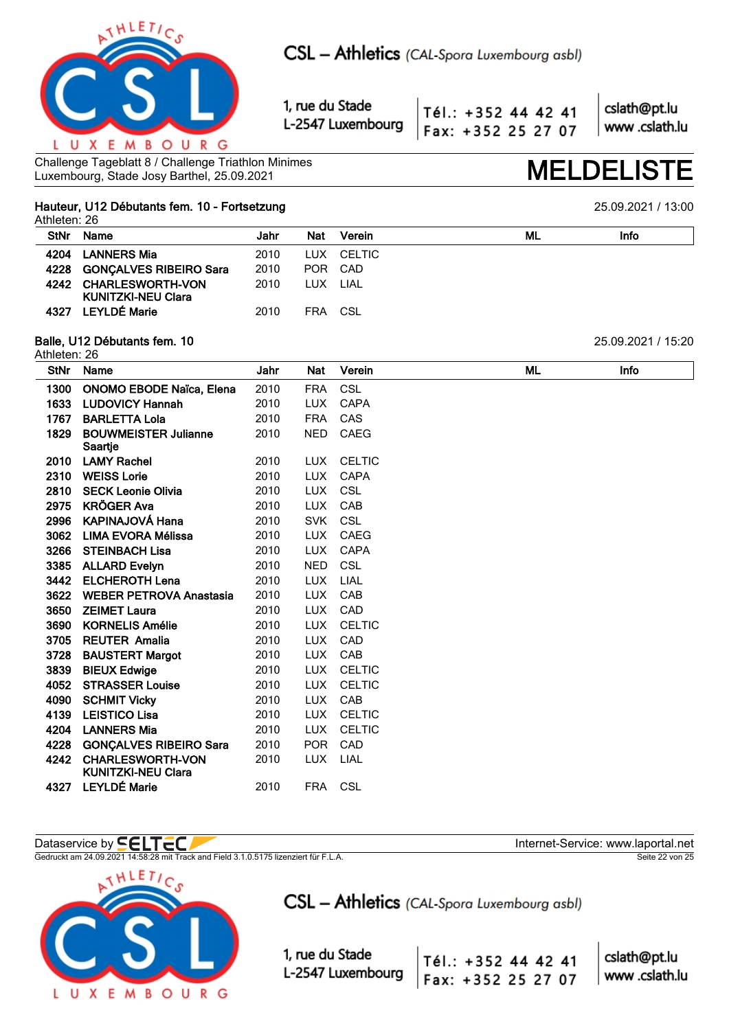

Tél.: +352 44 42 41 Fax: +352 25 27 07 cslath@pt.lu www.cslath.lu

Challenge Tageblatt 8 / Challenge Triathlon Minimes Challenge Tageblatt 8 / Challenge Triathlon Minimes<br>Luxembourg, Stade Josy Barthel, 25.09.2021 **MELDELIS** 

## **Hauteur, U12 Débutants fem. 10 - Fortsetzung** 25.09.2021 / 13:00

Athleten: 26

| <b>StNr</b> | Name                        | Jahr | Nat        | Verein     | ML | Info |
|-------------|-----------------------------|------|------------|------------|----|------|
|             | 4204 LANNERS Mia            | 2010 |            | LUX CELTIC |    |      |
|             | 4228 GONCALVES RIBEIRO Sara | 2010 |            | POR CAD    |    |      |
|             | 4242 CHARLESWORTH-VON       | 2010 | LUX        | LIAL       |    |      |
|             | <b>KUNITZKI-NEU Clara</b>   |      |            |            |    |      |
| 4327        | <b>LEYLDÉ Marie</b>         | 2010 | <b>FRA</b> | CSL        |    |      |

### **Balle, U12 Débutants fem. 10** 25.09.2021 / 15:20 Athleten: 26

| <b>StNr</b> | Name                                                 | Jahr | Nat        | Verein        | <b>ML</b> | Info |
|-------------|------------------------------------------------------|------|------------|---------------|-----------|------|
| 1300        | <b>ONOMO EBODE Naïca, Elena</b>                      | 2010 | <b>FRA</b> | <b>CSL</b>    |           |      |
| 1633        | <b>LUDOVICY Hannah</b>                               | 2010 | <b>LUX</b> | <b>CAPA</b>   |           |      |
| 1767        | <b>BARLETTA Lola</b>                                 | 2010 | <b>FRA</b> | CAS           |           |      |
| 1829        | <b>BOUWMEISTER Julianne</b>                          | 2010 | <b>NED</b> | <b>CAEG</b>   |           |      |
|             | Saartje                                              |      |            |               |           |      |
| 2010        | <b>LAMY Rachel</b>                                   | 2010 | <b>LUX</b> | <b>CELTIC</b> |           |      |
| 2310        | <b>WEISS Lorie</b>                                   | 2010 | <b>LUX</b> | <b>CAPA</b>   |           |      |
| 2810        | <b>SECK Leonie Olivia</b>                            | 2010 | <b>LUX</b> | <b>CSL</b>    |           |      |
| 2975        | <b>KRÖGER Ava</b>                                    | 2010 | <b>LUX</b> | CAB           |           |      |
| 2996        | KAPINAJOVÁ Hana                                      | 2010 | <b>SVK</b> | CSL           |           |      |
| 3062        | <b>LIMA EVORA Mélissa</b>                            | 2010 | <b>LUX</b> | <b>CAEG</b>   |           |      |
| 3266        | <b>STEINBACH Lisa</b>                                | 2010 | <b>LUX</b> | <b>CAPA</b>   |           |      |
| 3385        | <b>ALLARD Evelyn</b>                                 | 2010 | <b>NED</b> | <b>CSL</b>    |           |      |
| 3442        | <b>ELCHEROTH Lena</b>                                | 2010 | <b>LUX</b> | LIAL          |           |      |
| 3622        | <b>WEBER PETROVA Anastasia</b>                       | 2010 | <b>LUX</b> | CAB           |           |      |
| 3650        | <b>ZEIMET Laura</b>                                  | 2010 | <b>LUX</b> | CAD           |           |      |
| 3690        | <b>KORNELIS Amélie</b>                               | 2010 | <b>LUX</b> | <b>CELTIC</b> |           |      |
| 3705        | <b>REUTER Amalia</b>                                 | 2010 | <b>LUX</b> | CAD           |           |      |
| 3728        | <b>BAUSTERT Margot</b>                               | 2010 | <b>LUX</b> | CAB           |           |      |
| 3839        | <b>BIEUX Edwige</b>                                  | 2010 | <b>LUX</b> | <b>CELTIC</b> |           |      |
| 4052        | <b>STRASSER Louise</b>                               | 2010 | <b>LUX</b> | <b>CELTIC</b> |           |      |
| 4090        | <b>SCHMIT Vicky</b>                                  | 2010 | <b>LUX</b> | CAB           |           |      |
| 4139        | <b>LEISTICO Lisa</b>                                 | 2010 | <b>LUX</b> | <b>CELTIC</b> |           |      |
| 4204        | <b>LANNERS Mia</b>                                   | 2010 | <b>LUX</b> | <b>CELTIC</b> |           |      |
| 4228        | <b>GONÇALVES RIBEIRO Sara</b>                        | 2010 | <b>POR</b> | CAD           |           |      |
| 4242        | <b>CHARLESWORTH-VON</b><br><b>KUNITZKI-NEU Clara</b> | 2010 | <b>LUX</b> | LIAL          |           |      |
| 4327        | <b>LEYLDÉ Marie</b>                                  | 2010 | FRA        | <b>CSL</b>    |           |      |

## Dataservice by  $\blacksquare\blacksquare\blacksquare\blacksquare\blacksquare\blacksquare$

Gedruckt am 24.09.2021 14:58:28 mit Track and Field 3.1.0.5175 lizenziert für F.L.A. Seite 22 von 25 Seite 22 von 25



CSL - Athletics (CAL-Spora Luxembourg asbl)

1, rue du Stade L-2547 Luxembourg

cslath@pt.lu Tél.: +352 44 42 41 www.cslath.lu Fax: +352 25 27 07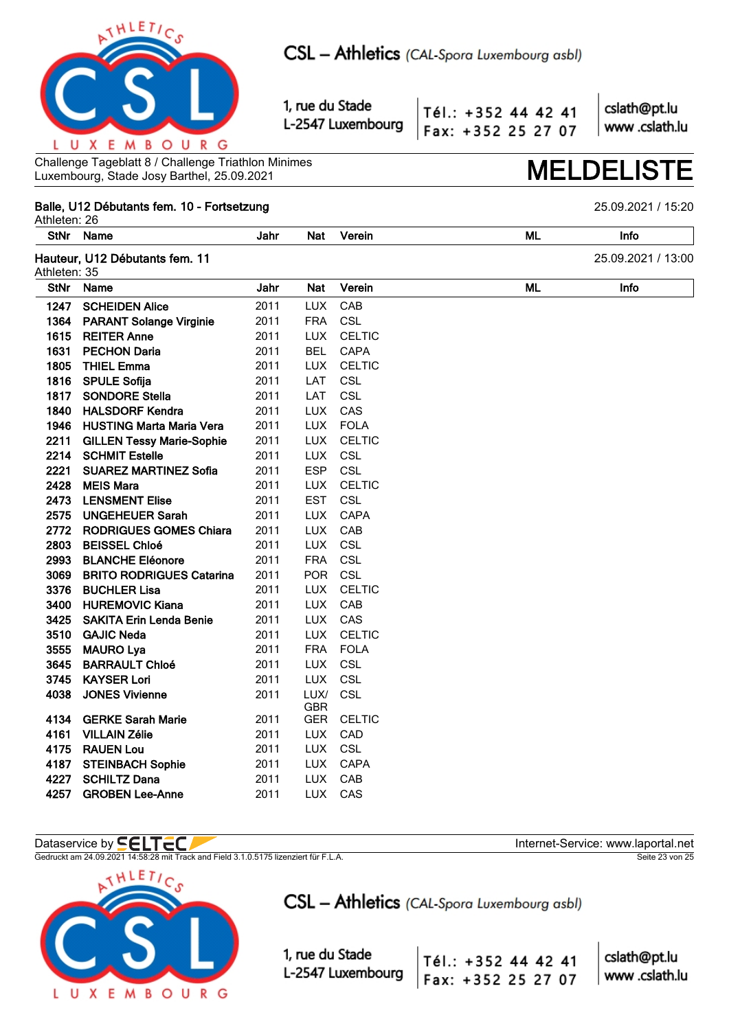

Tél.: +352 44 42 41 Fax: +352 25 27 07 cslath@pt.lu www.cslath.lu

Challenge Tageblatt 8 / Challenge Triathlon Minimes Luxembourg, Stade Josy Barthel, 25.09.2021 **MELDELISTE**

## **Balle, U12 Débutants fem. 10 - Fortsetzung** 25.09.2021 / 15:20

Athleten: 26 **StNr Name Jahr Nat Verein ML Info Hauteur, U12 Débutants fem. 11** 25.09.2021 / 13:00 Athleten: 35 **StNr Name Jahr Nat Verein ML Info SCHEIDEN Alice** 2011 LUX CAB **PARANT Solange Virginie** 2011 FRA CSL **REITER Anne** 2011 LUX CELTIC **PECHON Daria** 2011 BEL CAPA **THIEL Emma** 2011 LUX CELTIC **1816 SPULE Sofija** 2011 LAT CSL **1817 SONDORE Stella** 2011 LAT CSL **1840 HALSDORF Kendra** 2011 LUX CAS **HUSTING Marta Maria Vera** 2011 LUX FOLA **GILLEN Tessy Marie-Sophie** 2011 LUX CELTIC **2214 SCHMIT Estelle** 2011 LUX CSL **SUAREZ MARTINEZ Sofia** 2011 ESP CSL **MEIS Mara** 2011 LUX CELTIC **2473 LENSMENT Elise** 2011 EST CSL **UNGEHEUER Sarah** 2011 LUX CAPA **RODRIGUES GOMES Chiara** 2011 LUX CAB **BEISSEL Chloé** 2011 LUX CSL **BLANCHE Eléonore** 2011 FRA CSL **BRITO RODRIGUES Catarina** 2011 POR CSL **BUCHLER Lisa** 2011 LUX CELTIC **HUREMOVIC Kiana** 2011 LUX CAB **SAKITA Erin Lenda Benie** 2011 LUX CAS **GAJIC Neda** 2011 LUX CELTIC **3555 MAURO Lya** 2011 FRA FOLA **BARRAULT Chloé** 2011 LUX CSL **3745 KAYSER Lori** 2011 LUX CSL **JONES Vivienne** 2011 LUX/ GBR **CSL GERKE Sarah Marie** 2011 GER CELTIC **VILLAIN Zélie** 2011 LUX CAD **RAUEN Lou** 2011 LUX CSL **STEINBACH Sophie** 2011 LUX CAPA **SCHILTZ Dana** 2011 LUX CAB **GROBEN Lee-Anne** 2011 LUX CAS

## Dataservice by **SELTEC**

Gedruckt am 24.09.2021 14:58:28 mit Track and Field 3.1.0.5175 lizenziert für F.L.A. Seite 23 von 25



CSL - Athletics (CAL-Spora Luxembourg asbl)

1, rue du Stade L-2547 Luxembourg

cslath@pt.lu Tél.: +352 44 42 41 www.cslath.lu Fax: +352 25 27 07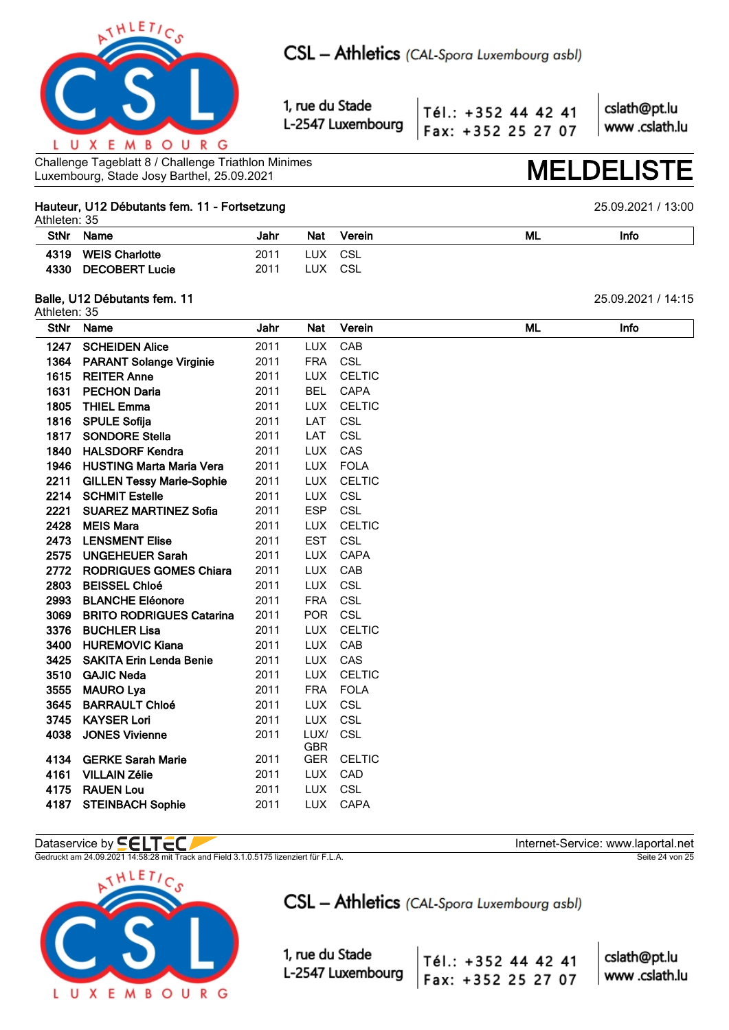

Tél.: +352 44 42 41 Fax: +352 25 27 07

cslath@pt.lu www.cslath.lu

Challenge Tageblatt 8 / Challenge Triathlon Minimes Challenge Tageblatt 8 / Challenge Triathlon Minimes<br>Luxembourg, Stade Josy Barthel, 25.09.2021

### **Hauteur, U12 Débutants fem. 11 - Fortsetzung** 25.09.2021 / 13:00  $A<sub>th</sub>$ <sub>d</sub> $A<sub>th</sub>$ <sub>25</sub>

|             | Athleten. 33          |      |            |        |    |      |  |  |  |  |  |
|-------------|-----------------------|------|------------|--------|----|------|--|--|--|--|--|
| <b>StNr</b> | Name                  | Jahr | <b>Nat</b> | Verein | ML | Info |  |  |  |  |  |
| 4319        | <b>WEIS Charlotte</b> | 2011 | LUX.       | CSL    |    |      |  |  |  |  |  |
|             | 4330 DECOBERT Lucie   | 2011 | LUX.       | CSL    |    |      |  |  |  |  |  |

## **Balle, U12 Débutants fem. 11** 25.09.2021 / 14:15

|             | Athleten: 35                     |      |                    |               |  |    |      |  |  |  |
|-------------|----------------------------------|------|--------------------|---------------|--|----|------|--|--|--|
| <b>StNr</b> | Name                             | Jahr | Nat                | Verein        |  | ML | Info |  |  |  |
| 1247        | <b>SCHEIDEN Alice</b>            | 2011 | <b>LUX</b>         | CAB           |  |    |      |  |  |  |
| 1364        | <b>PARANT Solange Virginie</b>   | 2011 | <b>FRA</b>         | CSL           |  |    |      |  |  |  |
| 1615        | <b>REITER Anne</b>               | 2011 | <b>LUX</b>         | <b>CELTIC</b> |  |    |      |  |  |  |
| 1631        | <b>PECHON Daria</b>              | 2011 | <b>BEL</b>         | <b>CAPA</b>   |  |    |      |  |  |  |
| 1805        | <b>THIEL Emma</b>                | 2011 | <b>LUX</b>         | <b>CELTIC</b> |  |    |      |  |  |  |
| 1816        | <b>SPULE Sofija</b>              | 2011 | LAT                | CSL           |  |    |      |  |  |  |
| 1817        | <b>SONDORE Stella</b>            | 2011 | LAT                | <b>CSL</b>    |  |    |      |  |  |  |
| 1840        | <b>HALSDORF Kendra</b>           | 2011 | <b>LUX</b>         | CAS           |  |    |      |  |  |  |
| 1946        | <b>HUSTING Marta Maria Vera</b>  | 2011 | <b>LUX</b>         | <b>FOLA</b>   |  |    |      |  |  |  |
| 2211        | <b>GILLEN Tessy Marie-Sophie</b> | 2011 | <b>LUX</b>         | <b>CELTIC</b> |  |    |      |  |  |  |
| 2214        | <b>SCHMIT Estelle</b>            | 2011 | <b>LUX</b>         | <b>CSL</b>    |  |    |      |  |  |  |
| 2221        | <b>SUAREZ MARTINEZ Sofia</b>     | 2011 | <b>ESP</b>         | CSL           |  |    |      |  |  |  |
| 2428        | <b>MEIS Mara</b>                 | 2011 | <b>LUX</b>         | <b>CELTIC</b> |  |    |      |  |  |  |
| 2473        | <b>LENSMENT Elise</b>            | 2011 | <b>EST</b>         | CSL           |  |    |      |  |  |  |
| 2575        | <b>UNGEHEUER Sarah</b>           | 2011 | <b>LUX</b>         | <b>CAPA</b>   |  |    |      |  |  |  |
| 2772        | <b>RODRIGUES GOMES Chiara</b>    | 2011 | <b>LUX</b>         | CAB           |  |    |      |  |  |  |
| 2803        | <b>BEISSEL Chloé</b>             | 2011 | <b>LUX</b>         | CSL           |  |    |      |  |  |  |
| 2993        | <b>BLANCHE Eléonore</b>          | 2011 | <b>FRA</b>         | CSL           |  |    |      |  |  |  |
| 3069        | <b>BRITO RODRIGUES Catarina</b>  | 2011 | <b>POR</b>         | CSL           |  |    |      |  |  |  |
| 3376        | <b>BUCHLER Lisa</b>              | 2011 | <b>LUX</b>         | <b>CELTIC</b> |  |    |      |  |  |  |
| 3400        | <b>HUREMOVIC Kiana</b>           | 2011 | <b>LUX</b>         | CAB           |  |    |      |  |  |  |
| 3425        | <b>SAKITA Erin Lenda Benie</b>   | 2011 | <b>LUX</b>         | CAS           |  |    |      |  |  |  |
| 3510        | <b>GAJIC Neda</b>                | 2011 | <b>LUX</b>         | <b>CELTIC</b> |  |    |      |  |  |  |
| 3555        | <b>MAURO Lya</b>                 | 2011 | <b>FRA</b>         | <b>FOLA</b>   |  |    |      |  |  |  |
| 3645        | <b>BARRAULT Chloé</b>            | 2011 | <b>LUX</b>         | CSL           |  |    |      |  |  |  |
| 3745        | <b>KAYSER Lori</b>               | 2011 | <b>LUX</b>         | <b>CSL</b>    |  |    |      |  |  |  |
| 4038        | <b>JONES Vivienne</b>            | 2011 | LUX/<br><b>GBR</b> | CSL           |  |    |      |  |  |  |
| 4134        | <b>GERKE Sarah Marie</b>         | 2011 | <b>GER</b>         | <b>CELTIC</b> |  |    |      |  |  |  |
| 4161        | <b>VILLAIN Zélie</b>             | 2011 | <b>LUX</b>         | CAD           |  |    |      |  |  |  |
| 4175        | <b>RAUEN Lou</b>                 | 2011 | <b>LUX</b>         | CSL           |  |    |      |  |  |  |
| 4187        | <b>STEINBACH Sophie</b>          | 2011 | <b>LUX</b>         | CAPA          |  |    |      |  |  |  |
|             |                                  |      |                    |               |  |    |      |  |  |  |

## Dataservice by  $\blacksquare\blacksquare\blacksquare\blacksquare\blacksquare\blacksquare$

Gedruckt am 24.09.2021 14:58:28 mit Track and Field 3.1.0.5175 lizenziert für F.L.A. Seite 24 von 25



CSL - Athletics (CAL-Spora Luxembourg asbl)

Tél.: +352 44 42 41

Fax: +352 25 27 07

1, rue du Stade L-2547 Luxembourg